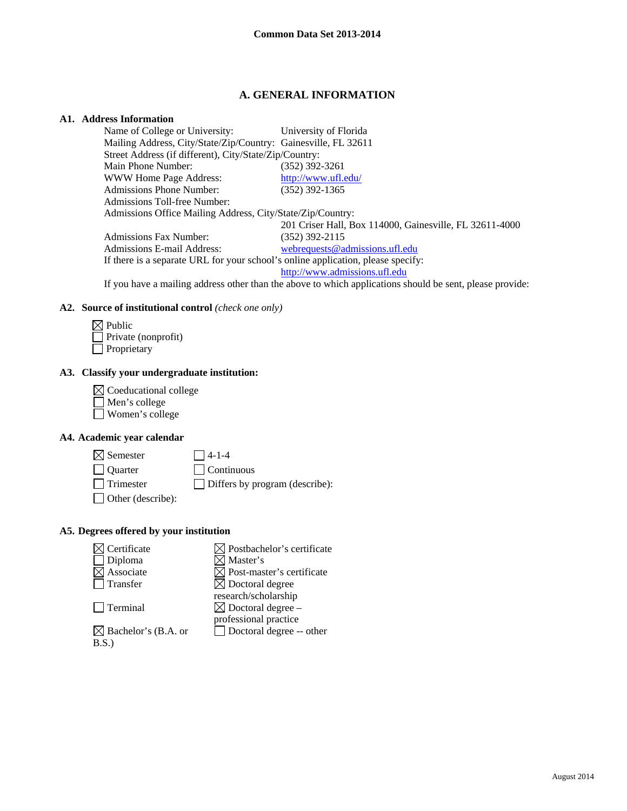# **A. GENERAL INFORMATION**

# **A1. Address Information**

| Name of College or University: University of Florida                             |                                                                                                                                                                                                                                                                                                                                                                                                                                                                                          |  |
|----------------------------------------------------------------------------------|------------------------------------------------------------------------------------------------------------------------------------------------------------------------------------------------------------------------------------------------------------------------------------------------------------------------------------------------------------------------------------------------------------------------------------------------------------------------------------------|--|
| Mailing Address, City/State/Zip/Country: Gainesville, FL 32611                   |                                                                                                                                                                                                                                                                                                                                                                                                                                                                                          |  |
| Street Address (if different), City/State/Zip/Country:                           |                                                                                                                                                                                                                                                                                                                                                                                                                                                                                          |  |
| Main Phone Number:                                                               | $(352)$ 392-3261                                                                                                                                                                                                                                                                                                                                                                                                                                                                         |  |
| WWW Home Page Address:                                                           | http://www.ufl.edu/                                                                                                                                                                                                                                                                                                                                                                                                                                                                      |  |
| <b>Admissions Phone Number:</b>                                                  | $(352)$ 392-1365                                                                                                                                                                                                                                                                                                                                                                                                                                                                         |  |
| Admissions Toll-free Number:                                                     |                                                                                                                                                                                                                                                                                                                                                                                                                                                                                          |  |
| Admissions Office Mailing Address, City/State/Zip/Country:                       |                                                                                                                                                                                                                                                                                                                                                                                                                                                                                          |  |
|                                                                                  | 201 Criser Hall, Box 114000, Gainesville, FL 32611-4000                                                                                                                                                                                                                                                                                                                                                                                                                                  |  |
| Admissions Fax Number:                                                           | $(352)$ 392-2115                                                                                                                                                                                                                                                                                                                                                                                                                                                                         |  |
| Admissions E-mail Address:                                                       | webrequests@admissions.ufl.edu                                                                                                                                                                                                                                                                                                                                                                                                                                                           |  |
| If there is a separate URL for your school's online application, please specify: |                                                                                                                                                                                                                                                                                                                                                                                                                                                                                          |  |
|                                                                                  | http://www.admissions.ufl.edu                                                                                                                                                                                                                                                                                                                                                                                                                                                            |  |
|                                                                                  | $\mathbf{T} \mathcal{C} = \mathbf{1} \qquad \qquad \mathbf{T} \mathbf{T} = \mathbf{1} \mathbf{T} = \mathbf{1} \mathbf{T} = \mathbf{1} \mathbf{T} = \mathbf{T} = \mathbf{T} \mathbf{T} = \mathbf{T} = \mathbf{T} \mathbf{T} = \mathbf{T} \mathbf{T} = \mathbf{T} \mathbf{T} = \mathbf{T} \mathbf{T} = \mathbf{T} \mathbf{T} = \mathbf{T} \mathbf{T} = \mathbf{T} \mathbf{T} = \mathbf{T} \mathbf{T} = \mathbf{T} \mathbf{T} = \mathbf{T} \mathbf{T} = \mathbf{T} \mathbf{T} = \mathbf{T}$ |  |

If you have a mailing address other than the above to which applications should be sent, please provide:

#### **A2. Source of institutional control** *(check one only)*

| $\boxtimes$ Public         |
|----------------------------|
| $\Box$ Private (nonprofit) |
| Proprietary                |

## **A3. Classify your undergraduate institution:**

 $\boxtimes$  Coeducational college Men's college Women's college

### **A4. Academic year calendar**

| $\boxtimes$ Semester     | $\Box$ 4-1-4                          |
|--------------------------|---------------------------------------|
| $\Box$ Quarter           | $\Box$ Continuous                     |
| Trimester                | $\Box$ Differs by program (describe): |
| $\Box$ Other (describe): |                                       |

## **A5. Degrees offered by your institution**

| Certificate                     | $\boxtimes$ Postbachelor's certificate |
|---------------------------------|----------------------------------------|
| Diploma                         | $\boxtimes$ Master's                   |
| Associate                       | $\boxtimes$ Post-master's certificate  |
| Transfer                        | $\boxtimes$ Doctoral degree            |
|                                 | research/scholarship                   |
| Terminal                        | $\boxtimes$ Doctoral degree –          |
|                                 | professional practice                  |
| $\boxtimes$ Bachelor's (B.A. or | Doctoral degree -- other               |
| B.S.                            |                                        |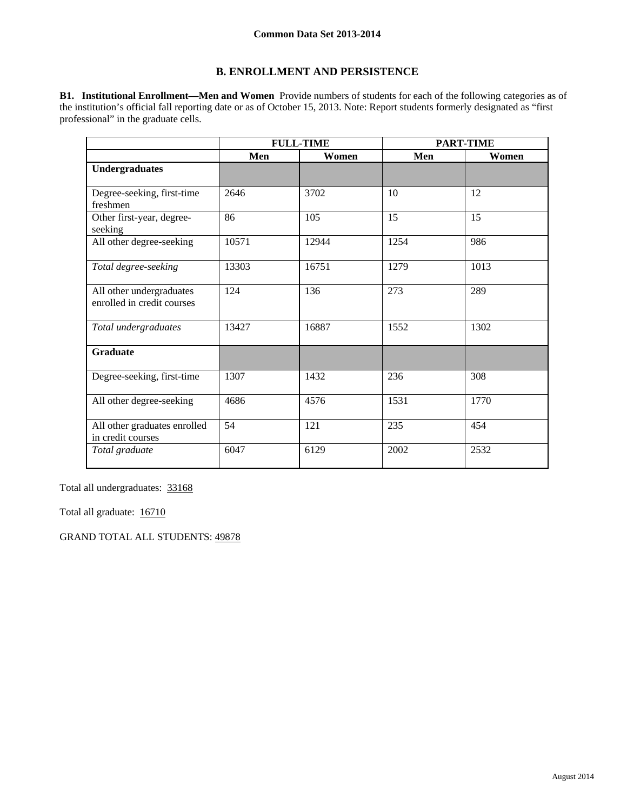# **B. ENROLLMENT AND PERSISTENCE**

**B1. Institutional Enrollment—Men and Women** Provide numbers of students for each of the following categories as of the institution's official fall reporting date or as of October 15, 2013. Note: Report students formerly designated as "first professional" in the graduate cells.

|                                                        |       | <b>FULL-TIME</b> |      | <b>PART-TIME</b> |
|--------------------------------------------------------|-------|------------------|------|------------------|
|                                                        | Men   | Women            | Men  | Women            |
| <b>Undergraduates</b>                                  |       |                  |      |                  |
| Degree-seeking, first-time<br>freshmen                 | 2646  | 3702             | 10   | 12               |
| Other first-year, degree-<br>seeking                   | 86    | 105              | 15   | 15               |
| All other degree-seeking                               | 10571 | 12944            | 1254 | 986              |
| Total degree-seeking                                   | 13303 | 16751            | 1279 | 1013             |
| All other undergraduates<br>enrolled in credit courses | 124   | 136              | 273  | 289              |
| Total undergraduates                                   | 13427 | 16887            | 1552 | 1302             |
| <b>Graduate</b>                                        |       |                  |      |                  |
| Degree-seeking, first-time                             | 1307  | 1432             | 236  | 308              |
| All other degree-seeking                               | 4686  | 4576             | 1531 | 1770             |
| All other graduates enrolled<br>in credit courses      | 54    | 121              | 235  | 454              |
| Total graduate                                         | 6047  | 6129             | 2002 | 2532             |

Total all undergraduates: 33168

Total all graduate: 16710

GRAND TOTAL ALL STUDENTS: 49878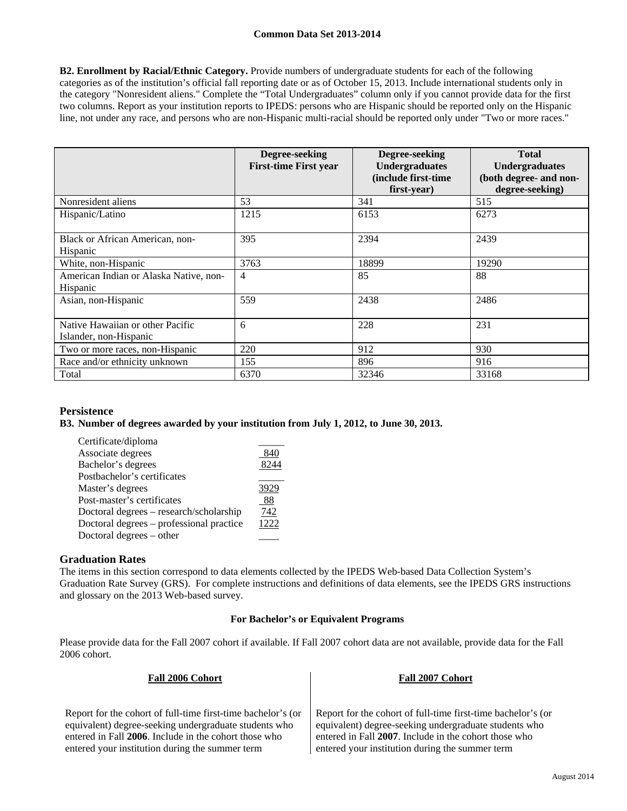**B2. Enrollment by Racial/Ethnic Category.** Provide numbers of undergraduate students for each of the following categories as of the institution's official fall reporting date or as of October 15, 2013. Include international students only in the category "Nonresident aliens." Complete the "Total Undergraduates" column only if you cannot provide data for the first two columns. Report as your institution reports to IPEDS: persons who are Hispanic should be reported only on the Hispanic line, not under any race, and persons who are non-Hispanic multi-racial should be reported only under "Two or more races."

|                                                            | Degree-seeking<br><b>First-time First year</b> | Degree-seeking<br><b>Undergraduates</b><br>(include first-time<br>first-year) | <b>Total</b><br><b>Undergraduates</b><br>(both degree- and non-<br>degree-seeking) |
|------------------------------------------------------------|------------------------------------------------|-------------------------------------------------------------------------------|------------------------------------------------------------------------------------|
| Nonresident aliens                                         | 53                                             | 341                                                                           | 515                                                                                |
| Hispanic/Latino                                            | 1215                                           | 6153                                                                          | 6273                                                                               |
| Black or African American, non-<br>Hispanic                | 395                                            | 2394                                                                          | 2439                                                                               |
| White, non-Hispanic                                        | 3763                                           | 18899                                                                         | 19290                                                                              |
| American Indian or Alaska Native, non-<br>Hispanic         | $\overline{4}$                                 | 85                                                                            | 88                                                                                 |
| Asian, non-Hispanic                                        | 559                                            | 2438                                                                          | 2486                                                                               |
| Native Hawaiian or other Pacific<br>Islander, non-Hispanic | 6                                              | 228                                                                           | 231                                                                                |
| Two or more races, non-Hispanic                            | 220                                            | 912                                                                           | 930                                                                                |
| Race and/or ethnicity unknown                              | 155                                            | 896                                                                           | 916                                                                                |
| Total                                                      | 6370                                           | 32346                                                                         | 33168                                                                              |

# **Persistence**

### **B3. Number of degrees awarded by your institution from July 1, 2012, to June 30, 2013.**

| Certificate/diploma                      |      |
|------------------------------------------|------|
| Associate degrees                        | 840  |
| Bachelor's degrees                       | 8244 |
| Postbachelor's certificates              |      |
| Master's degrees                         | 3929 |
| Post-master's certificates               | 88   |
| Doctoral degrees – research/scholarship  | 742  |
| Doctoral degrees – professional practice | 1222 |
| Doctoral degrees – other                 |      |

### **Graduation Rates**

The items in this section correspond to data elements collected by the IPEDS Web-based Data Collection System's Graduation Rate Survey (GRS). For complete instructions and definitions of data elements, see the IPEDS GRS instructions and glossary on the 2013 Web-based survey.

#### **For Bachelor's or Equivalent Programs**

Please provide data for the Fall 2007 cohort if available. If Fall 2007 cohort data are not available, provide data for the Fall 2006 cohort.

| Fall 2006 Cohort                                             | Fall 2007 Cohort                                             |  |
|--------------------------------------------------------------|--------------------------------------------------------------|--|
|                                                              |                                                              |  |
|                                                              |                                                              |  |
| Report for the cohort of full-time first-time bachelor's (or | Report for the cohort of full-time first-time bachelor's (or |  |
| equivalent) degree-seeking undergraduate students who        | equivalent) degree-seeking undergraduate students who        |  |
| entered in Fall 2006. Include in the cohort those who        | entered in Fall 2007. Include in the cohort those who        |  |
| entered your institution during the summer term              | entered your institution during the summer term              |  |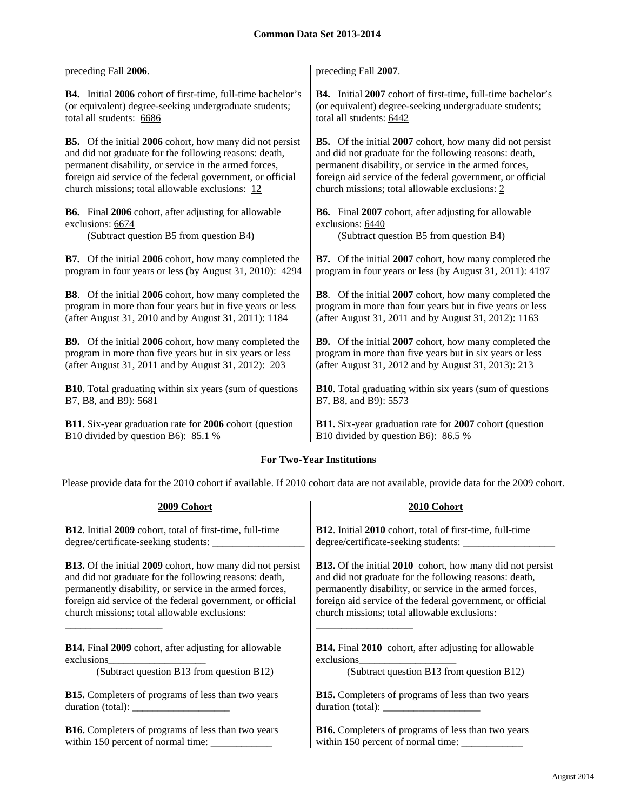| preceding Fall 2006.                                               | preceding Fall 2007.                                               |
|--------------------------------------------------------------------|--------------------------------------------------------------------|
| <b>B4.</b> Initial 2006 cohort of first-time, full-time bachelor's | <b>B4.</b> Initial 2007 cohort of first-time, full-time bachelor's |
| (or equivalent) degree-seeking undergraduate students;             | (or equivalent) degree-seeking undergraduate students;             |
| total all students: 6686                                           | total all students: 6442                                           |
| <b>B5.</b> Of the initial 2006 cohort, how many did not persist    | <b>B5.</b> Of the initial 2007 cohort, how many did not persist    |
| and did not graduate for the following reasons: death,             | and did not graduate for the following reasons: death,             |
| permanent disability, or service in the armed forces,              | permanent disability, or service in the armed forces,              |
| foreign aid service of the federal government, or official         | foreign aid service of the federal government, or official         |
| church missions; total allowable exclusions: 12                    | church missions; total allowable exclusions: 2                     |
| <b>B6.</b> Final 2006 cohort, after adjusting for allowable        | <b>B6.</b> Final 2007 cohort, after adjusting for allowable        |
| exclusions: 6674                                                   | exclusions: 6440                                                   |
| (Subtract question B5 from question B4)                            | (Subtract question B5 from question B4)                            |
| <b>B7.</b> Of the initial 2006 cohort, how many completed the      | <b>B7.</b> Of the initial 2007 cohort, how many completed the      |
| program in four years or less (by August 31, 2010): 4294           | program in four years or less (by August 31, 2011): 4197           |
| <b>B8</b> . Of the initial 2006 cohort, how many completed the     | <b>B8.</b> Of the initial 2007 cohort, how many completed the      |
| program in more than four years but in five years or less          | program in more than four years but in five years or less          |
| (after August 31, 2010 and by August 31, 2011): 1184               | (after August 31, 2011 and by August 31, 2012): 1163               |
| <b>B9.</b> Of the initial 2006 cohort, how many completed the      | <b>B9.</b> Of the initial 2007 cohort, how many completed the      |
| program in more than five years but in six years or less           | program in more than five years but in six years or less           |
| (after August 31, 2011 and by August 31, 2012): 203                | (after August 31, 2012 and by August 31, 2013): 213                |
| <b>B10</b> . Total graduating within six years (sum of questions   | <b>B10.</b> Total graduating within six years (sum of questions    |
| B7, B8, and B9): 5681                                              | B7, B8, and B9): 5573                                              |
| B11. Six-year graduation rate for 2006 cohort (question            | B11. Six-year graduation rate for 2007 cohort (question            |
| B10 divided by question B6): $85.1\%$                              | B10 divided by question B6): $86.5\%$                              |

### **For Two-Year Institutions**

Please provide data for the 2010 cohort if available. If 2010 cohort data are not available, provide data for the 2009 cohort.

| 2009 Cohort                                                      | 2010 Cohort                                                      |
|------------------------------------------------------------------|------------------------------------------------------------------|
| <b>B12.</b> Initial 2009 cohort, total of first-time, full-time  | <b>B12.</b> Initial 2010 cohort, total of first-time, full-time  |
|                                                                  |                                                                  |
| <b>B13.</b> Of the initial 2009 cohort, how many did not persist | <b>B13.</b> Of the initial 2010 cohort, how many did not persist |
| and did not graduate for the following reasons: death,           | and did not graduate for the following reasons: death,           |
| permanently disability, or service in the armed forces,          | permanently disability, or service in the armed forces,          |
| foreign aid service of the federal government, or official       | foreign aid service of the federal government, or official       |
| church missions; total allowable exclusions:                     | church missions; total allowable exclusions:                     |
| <b>B14.</b> Final 2009 cohort, after adjusting for allowable     | <b>B14.</b> Final 2010 cohort, after adjusting for allowable     |
| exclusions                                                       | exclusions                                                       |
| (Subtract question B13 from question B12)                        | (Subtract question B13 from question B12)                        |
| <b>B15.</b> Completers of programs of less than two years        | <b>B15.</b> Completers of programs of less than two years        |
| duration (total):                                                |                                                                  |
| <b>B16.</b> Completers of programs of less than two years        | <b>B16.</b> Completers of programs of less than two years        |
|                                                                  |                                                                  |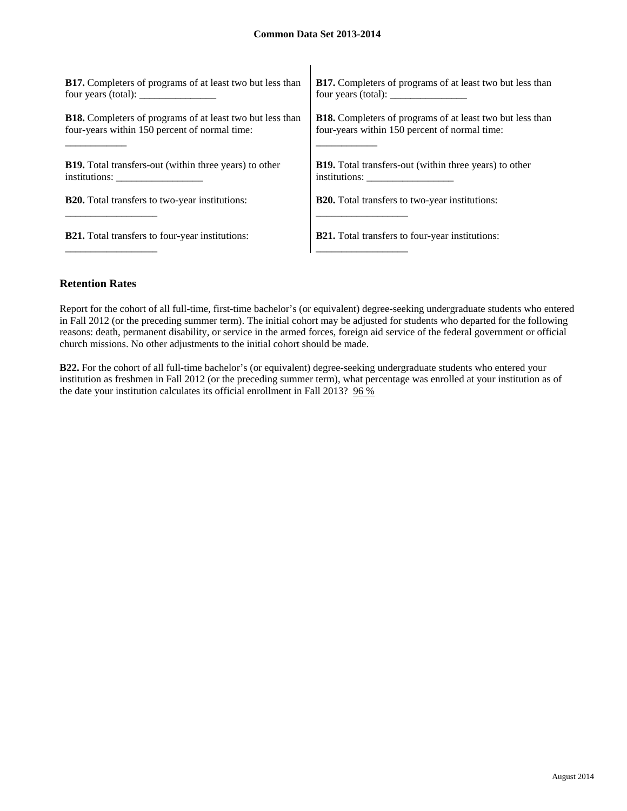| <b>B17.</b> Completers of programs of at least two but less than | <b>B17.</b> Completers of programs of at least two but less than |
|------------------------------------------------------------------|------------------------------------------------------------------|
| four years (total): $\frac{1}{2}$                                |                                                                  |
| <b>B18.</b> Completers of programs of at least two but less than | <b>B18.</b> Completers of programs of at least two but less than |
| four-years within 150 percent of normal time:                    | four-years within 150 percent of normal time:                    |
| <b>B19.</b> Total transfers-out (within three years) to other    | <b>B19.</b> Total transfers-out (within three years) to other    |
| institutions:                                                    | institutions:                                                    |
| <b>B20.</b> Total transfers to two-year institutions:            | <b>B20.</b> Total transfers to two-year institutions:            |
| <b>B21.</b> Total transfers to four-year institutions:           | <b>B21.</b> Total transfers to four-year institutions:           |

## **Retention Rates**

Report for the cohort of all full-time, first-time bachelor's (or equivalent) degree-seeking undergraduate students who entered in Fall 2012 (or the preceding summer term). The initial cohort may be adjusted for students who departed for the following reasons: death, permanent disability, or service in the armed forces, foreign aid service of the federal government or official church missions. No other adjustments to the initial cohort should be made.

**B22.** For the cohort of all full-time bachelor's (or equivalent) degree-seeking undergraduate students who entered your institution as freshmen in Fall 2012 (or the preceding summer term), what percentage was enrolled at your institution as of the date your institution calculates its official enrollment in Fall 2013? 96 %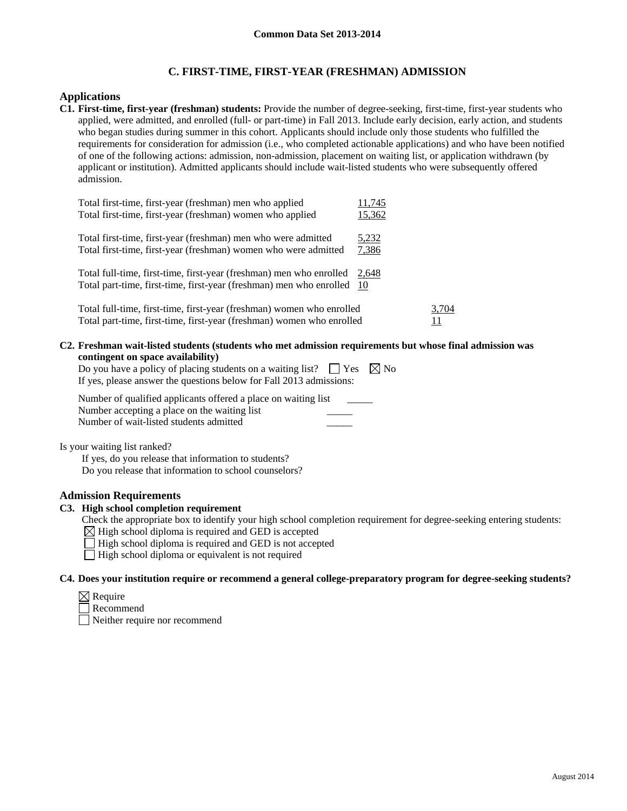# **C. FIRST-TIME, FIRST-YEAR (FRESHMAN) ADMISSION**

### **Applications**

**C1. First-time, first-year (freshman) students:** Provide the number of degree-seeking, first-time, first-year students who applied, were admitted, and enrolled (full- or part-time) in Fall 2013. Include early decision, early action, and students who began studies during summer in this cohort. Applicants should include only those students who fulfilled the requirements for consideration for admission (i.e., who completed actionable applications) and who have been notified of one of the following actions: admission, non-admission, placement on waiting list, or application withdrawn (by applicant or institution). Admitted applicants should include wait-listed students who were subsequently offered admission.

| Total first-time, first-year (freshman) men who applied<br>Total first-time, first-year (freshman) women who applied                                | 11,745<br>15,362 |             |
|-----------------------------------------------------------------------------------------------------------------------------------------------------|------------------|-------------|
| Total first-time, first-year (freshman) men who were admitted<br>Total first-time, first-year (freshman) women who were admitted                    | 5,232<br>7,386   |             |
| Total full-time, first-time, first-year (freshman) men who enrolled 2,648<br>Total part-time, first-time, first-year (freshman) men who enrolled 10 |                  |             |
| Total full-time, first-time, first-year (freshman) women who enrolled<br>Total part-time, first-time, first-year (freshman) women who enrolled      |                  | 3,704<br>11 |

**C2. Freshman wait-listed students (students who met admission requirements but whose final admission was contingent on space availability)** 

| Do you have a policy of placing students on a waiting list? $\Box$ Yes $\boxtimes$ No |  |
|---------------------------------------------------------------------------------------|--|
| If yes, please answer the questions below for Fall 2013 admissions:                   |  |

| Number of qualified applicants offered a place on waiting list |  |
|----------------------------------------------------------------|--|
| Number accepting a place on the waiting list                   |  |
| Number of wait-listed students admitted                        |  |

Is your waiting list ranked?

 If yes, do you release that information to students? Do you release that information to school counselors?

### **Admission Requirements**

### **C3. High school completion requirement**

- Check the appropriate box to identify your high school completion requirement for degree-seeking entering students:
- $\boxtimes$  High school diploma is required and GED is accepted
- $\Box$  High school diploma is required and GED is not accepted
- $\Box$  High school diploma or equivalent is not required

#### **C4. Does your institution require or recommend a general college-preparatory program for degree-seeking students?**

- $\boxtimes$  Require
- Recommend

Neither require nor recommend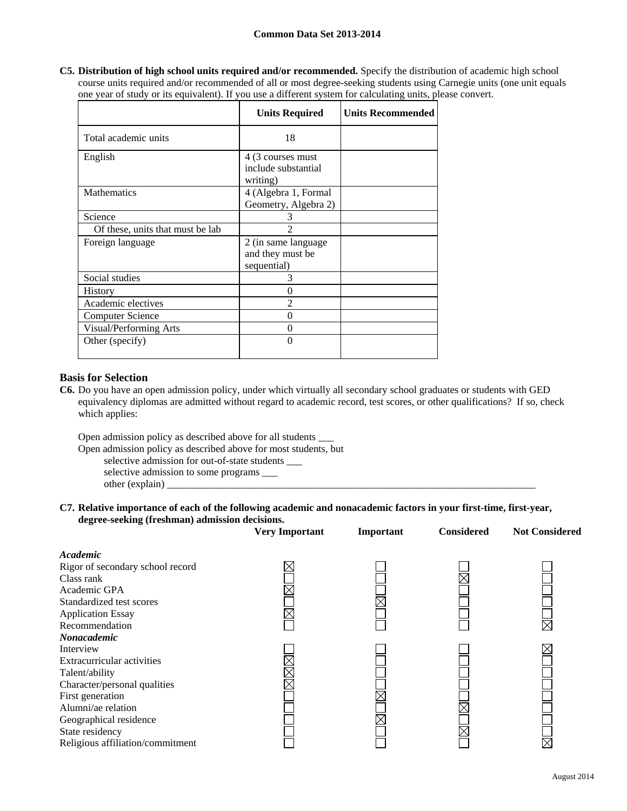**C5. Distribution of high school units required and/or recommended.** Specify the distribution of academic high school course units required and/or recommended of all or most degree-seeking students using Carnegie units (one unit equals one year of study or its equivalent). If you use a different system for calculating units, please convert.

|                                  | <b>Units Required</b>                                   | <b>Units Recommended</b> |
|----------------------------------|---------------------------------------------------------|--------------------------|
| Total academic units             | 18                                                      |                          |
| English                          | 4 (3 courses must<br>include substantial<br>writing)    |                          |
| <b>Mathematics</b>               | 4 (Algebra 1, Formal<br>Geometry, Algebra 2)            |                          |
| Science                          | 3                                                       |                          |
| Of these, units that must be lab | $\mathfrak{D}$                                          |                          |
| Foreign language                 | 2 (in same language)<br>and they must be<br>sequential) |                          |
| Social studies                   | 3                                                       |                          |
| <b>History</b>                   | $\theta$                                                |                          |
| Academic electives               | 2                                                       |                          |
| <b>Computer Science</b>          | 0                                                       |                          |
| Visual/Performing Arts           | $\theta$                                                |                          |
| Other (specify)                  | 0                                                       |                          |

## **Basis for Selection**

**C6.** Do you have an open admission policy, under which virtually all secondary school graduates or students with GED equivalency diplomas are admitted without regard to academic record, test scores, or other qualifications? If so, check which applies:

Open admission policy as described above for all students \_\_\_

Open admission policy as described above for most students, but

 selective admission for out-of-state students \_\_\_ selective admission to some programs \_\_\_ other (explain)

#### **C7. Relative importance of each of the following academic and nonacademic factors in your first-time, first-year, degree-seeking (freshman) admission decisions.**

|                                  | <b>Very Important</b> | Important | <b>Considered</b> | <b>Not Considered</b> |
|----------------------------------|-----------------------|-----------|-------------------|-----------------------|
| Academic                         |                       |           |                   |                       |
| Rigor of secondary school record |                       |           |                   |                       |
| Class rank                       |                       |           |                   |                       |
| Academic GPA                     |                       |           |                   |                       |
| Standardized test scores         |                       |           |                   |                       |
| <b>Application Essay</b>         |                       |           |                   |                       |
| Recommendation                   |                       |           |                   | $\times$              |
| <b>Nonacademic</b>               |                       |           |                   |                       |
| Interview                        |                       |           |                   |                       |
| Extracurricular activities       |                       |           |                   |                       |
| Talent/ability                   |                       |           |                   |                       |
| Character/personal qualities     |                       |           |                   |                       |
| First generation                 |                       |           |                   |                       |
| Alumni/ae relation               |                       |           |                   |                       |
| Geographical residence           |                       |           |                   |                       |
| State residency                  |                       |           |                   |                       |
| Religious affiliation/commitment |                       |           |                   |                       |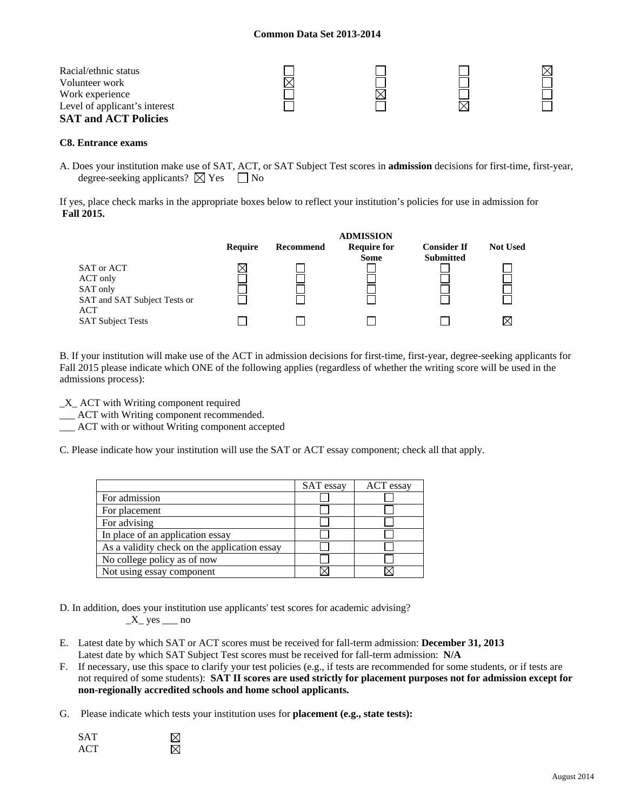| Racial/ethnic status          |  |  |
|-------------------------------|--|--|
| Volunteer work                |  |  |
| Work experience               |  |  |
| Level of applicant's interest |  |  |
| <b>SAT and ACT Policies</b>   |  |  |

#### **C8. Entrance exams**

A. Does your institution make use of SAT, ACT, or SAT Subject Test scores in **admission** decisions for first-time, first-year, degree-seeking applicants?  $\boxtimes$  Yes  $\Box$  No

If yes, place check marks in the appropriate boxes below to reflect your institution's policies for use in admission for **Fall 2015.** 

|                              |         |           | <b>ADMISSION</b>   |                    |                 |
|------------------------------|---------|-----------|--------------------|--------------------|-----------------|
|                              | Require | Recommend | <b>Require for</b> | <b>Consider If</b> | <b>Not Used</b> |
|                              |         |           | <b>Some</b>        | <b>Submitted</b>   |                 |
| SAT or ACT                   |         |           |                    |                    |                 |
| ACT only                     |         |           |                    |                    |                 |
| SAT only                     |         |           |                    |                    |                 |
| SAT and SAT Subject Tests or |         |           |                    |                    |                 |
| ACT                          |         |           |                    |                    |                 |
| <b>SAT Subject Tests</b>     |         |           |                    |                    |                 |

B. If your institution will make use of the ACT in admission decisions for first-time, first-year, degree-seeking applicants for Fall 2015 please indicate which ONE of the following applies (regardless of whether the writing score will be used in the admissions process):

\_X\_ ACT with Writing component required

\_\_\_ ACT with Writing component recommended.

ACT with or without Writing component accepted

C. Please indicate how your institution will use the SAT or ACT essay component; check all that apply.

|                                              | SAT essay | ACT essay |
|----------------------------------------------|-----------|-----------|
| For admission                                |           |           |
| For placement                                |           |           |
| For advising                                 |           |           |
| In place of an application essay             |           |           |
| As a validity check on the application essay |           |           |
| No college policy as of now                  |           |           |
| Not using essay component                    |           |           |

D. In addition, does your institution use applicants' test scores for academic advising?  $X$  yes  $\_\_$ no

- E. Latest date by which SAT or ACT scores must be received for fall-term admission: **December 31, 2013** Latest date by which SAT Subject Test scores must be received for fall-term admission: **N/A**
- F. If necessary, use this space to clarify your test policies (e.g., if tests are recommended for some students, or if tests are not required of some students): **SAT II scores are used strictly for placement purposes not for admission except for non-regionally accredited schools and home school applicants.**
- G. Please indicate which tests your institution uses for **placement (e.g., state tests):**

| <b>SAT</b>       |  |
|------------------|--|
| ACT <sup>.</sup> |  |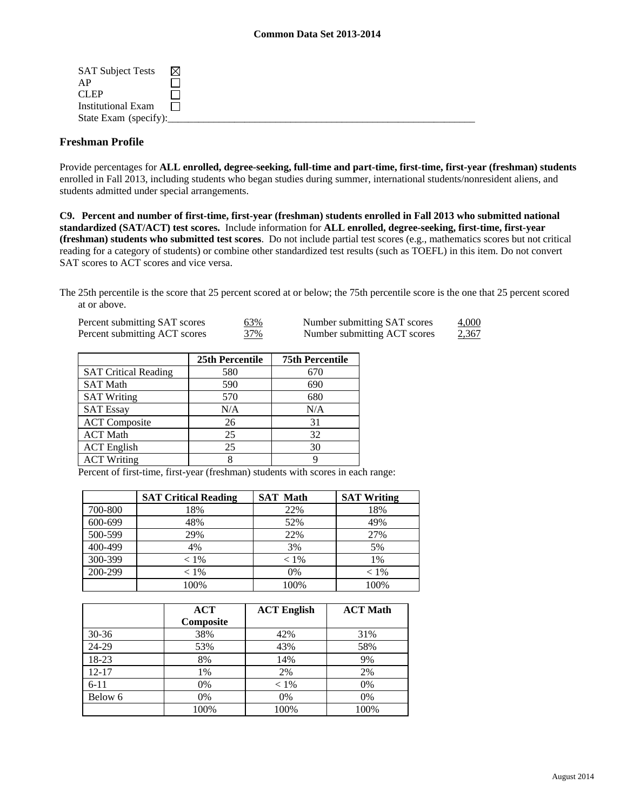| <b>SAT Subject Tests</b>  | M |  |
|---------------------------|---|--|
| AP                        |   |  |
| CLEP <sub></sub>          |   |  |
| <b>Institutional Exam</b> |   |  |
| State Exam (specify):     |   |  |

#### **Freshman Profile**

Provide percentages for **ALL enrolled, degree-seeking, full-time and part-time, first-time, first-year (freshman) students**  enrolled in Fall 2013, including students who began studies during summer, international students/nonresident aliens, and students admitted under special arrangements.

**C9. Percent and number of first-time, first-year (freshman) students enrolled in Fall 2013 who submitted national standardized (SAT/ACT) test scores.** Include information for **ALL enrolled, degree-seeking, first-time, first-year (freshman) students who submitted test scores**. Do not include partial test scores (e.g., mathematics scores but not critical reading for a category of students) or combine other standardized test results (such as TOEFL) in this item. Do not convert SAT scores to ACT scores and vice versa.

The 25th percentile is the score that 25 percent scored at or below; the 75th percentile score is the one that 25 percent scored at or above.

| Percent submitting SAT scores | <u>63%</u> | Number submitting SAT scores | 4,000        |
|-------------------------------|------------|------------------------------|--------------|
| Percent submitting ACT scores | 37%        | Number submitting ACT scores | <u>2,367</u> |

|                             | 25th Percentile | <b>75th Percentile</b> |
|-----------------------------|-----------------|------------------------|
| <b>SAT Critical Reading</b> | 580             | 670                    |
| <b>SAT Math</b>             | 590             | 690                    |
| <b>SAT Writing</b>          | 570             | 680                    |
| <b>SAT Essay</b>            | N/A             | N/A                    |
| <b>ACT</b> Composite        | 26              | 31                     |
| <b>ACT Math</b>             | 25              | 32                     |
| <b>ACT</b> English          | 25              | 30                     |
| <b>ACT Writing</b>          |                 |                        |

Percent of first-time, first-year (freshman) students with scores in each range:

|         | <b>SAT Critical Reading</b> | <b>SAT Math</b> | <b>SAT Writing</b> |
|---------|-----------------------------|-----------------|--------------------|
| 700-800 | 18%                         | 22%             | 18%                |
| 600-699 | 48%                         | 52%             | 49%                |
| 500-599 | 29%                         | 22%             | 27%                |
| 400-499 | 4%                          | 3%              | 5%                 |
| 300-399 | $< 1\%$                     | $< 1\%$         | 1%                 |
| 200-299 | $< 1\%$                     | 0%              | $< 1\%$            |
|         | 100%                        | 100%            | 100%               |

|           | <b>ACT</b><br>Composite | <b>ACT English</b> | <b>ACT Math</b> |
|-----------|-------------------------|--------------------|-----------------|
| $30 - 36$ | 38%                     | 42%                | 31%             |
| 24-29     | 53%                     | 43%                | 58%             |
| 18-23     | 8%                      | 14%                | 9%              |
| $12 - 17$ | 1%                      | 2%                 | 2%              |
| $6 - 11$  | 0%                      | $< 1\%$            | 0%              |
| Below 6   | 0%                      | 0%                 | 0%              |
|           | 100%                    | 100%               | 100%            |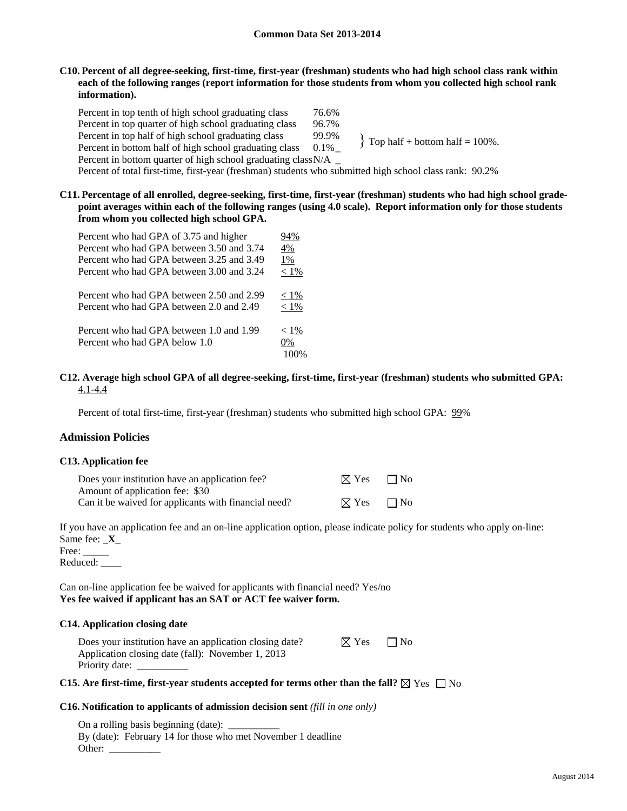#### **C10. Percent of all degree-seeking, first-time, first-year (freshman) students who had high school class rank within each of the following ranges (report information for those students from whom you collected high school rank information).**

Percent in top tenth of high school graduating class 76.6% Percent in top quarter of high school graduating class 96.7% Percent in top half of high school graduating class 99.9% Percent in bottom half of high school graduating class  $0.1\%$ Percent in bottom quarter of high school graduating class N/A \_ Percent of total first-time, first-year (freshman) students who submitted high school class rank: 90.2%  $\{$  Top half + bottom half = 100%.

### **C11. Percentage of all enrolled, degree-seeking, first-time, first-year (freshman) students who had high school gradepoint averages within each of the following ranges (using 4.0 scale). Report information only for those students from whom you collected high school GPA.**

| Percent who had GPA of 3.75 and higher    | 94%     |
|-------------------------------------------|---------|
| Percent who had GPA between 3.50 and 3.74 | 4%      |
| Percent who had GPA between 3.25 and 3.49 | 1%      |
| Percent who had GPA between 3.00 and 3.24 | $< 1\%$ |
| Percent who had GPA between 2.50 and 2.99 | $< 1\%$ |
| Percent who had GPA between 2.0 and 2.49  | $< 1\%$ |
| Percent who had GPA between 1.0 and 1.99  | $< 1\%$ |
| Percent who had GPA below 1.0             | 0%      |
|                                           | 100%    |

#### **C12. Average high school GPA of all degree-seeking, first-time, first-year (freshman) students who submitted GPA:** 4.1-4.4

Percent of total first-time, first-year (freshman) students who submitted high school GPA: 99%

### **Admission Policies**

#### **C13. Application fee**

| Does your institution have an application fee?       | $\boxtimes$ Yes | $\Box$ No |
|------------------------------------------------------|-----------------|-----------|
| Amount of application fee: \$30                      |                 |           |
| Can it be waived for applicants with financial need? | $\boxtimes$ Yes | $\Box$ No |

If you have an application fee and an on-line application option, please indicate policy for students who apply on-line: Same fee: \_**X**\_

Free:

Reduced: \_\_\_\_

Can on-line application fee be waived for applicants with financial need? Yes/no **Yes fee waived if applicant has an SAT or ACT fee waiver form.** 

#### **C14. Application closing date**

| Does your institution have an application closing date? | $\boxtimes$ Yes | $\Box$ No |
|---------------------------------------------------------|-----------------|-----------|
| Application closing date (fall): November 1, 2013       |                 |           |
| Priority date:                                          |                 |           |

#### **C15.** Are first-time, first-year students accepted for terms other than the fall?  $\boxtimes$  Yes  $\Box$  No

#### **C16. Notification to applicants of admission decision sent** *(fill in one only)*

On a rolling basis beginning (date): By (date): February 14 for those who met November 1 deadline Other: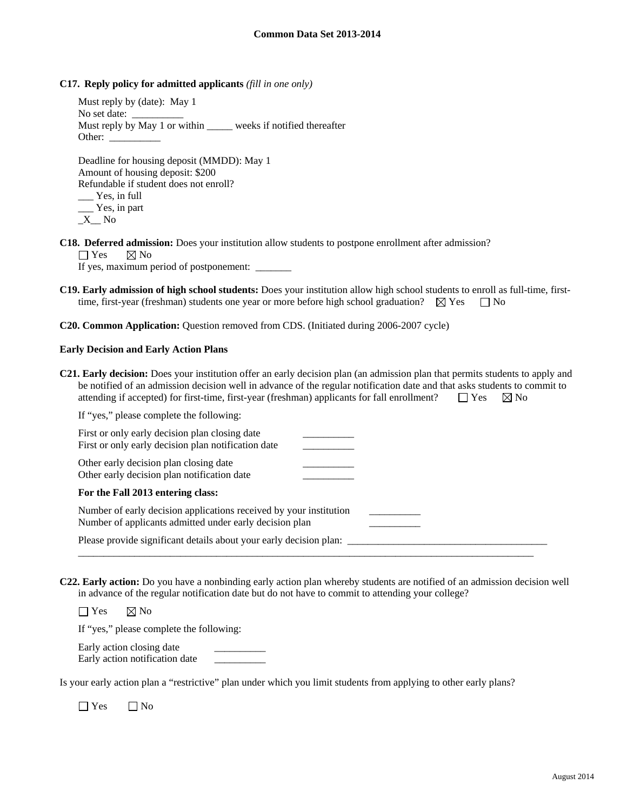#### **C17. Reply policy for admitted applicants** *(fill in one only)*

Must reply by (date): May 1 No set date: Must reply by May 1 or within weeks if notified thereafter Other: \_\_\_\_\_\_\_\_\_\_

Deadline for housing deposit (MMDD): May 1 Amount of housing deposit: \$200 Refundable if student does not enroll? \_\_\_ Yes, in full \_\_\_ Yes, in part  $\_X$  No

**C18. Deferred admission:** Does your institution allow students to postpone enrollment after admission?  $\Box$  Yes  $\Box$  No

If yes, maximum period of postponement:  $\qquad \qquad$ 

- **C19. Early admission of high school students:** Does your institution allow high school students to enroll as full-time, firsttime, first-year (freshman) students one year or more before high school graduation?  $\boxtimes$  Yes  $\Box$  No
- **C20. Common Application:** Question removed from CDS. (Initiated during 2006-2007 cycle)

#### **Early Decision and Early Action Plans**

**C21. Early decision:** Does your institution offer an early decision plan (an admission plan that permits students to apply and be notified of an admission decision well in advance of the regular notification date and that asks students to commit to attending if accepted) for first-time, first-year (freshman) applicants for fall enrollment?  $\Box$  Yes  $\Box$  No

| If "yes," please complete the following:                                                                                      |  |
|-------------------------------------------------------------------------------------------------------------------------------|--|
| First or only early decision plan closing date<br>First or only early decision plan notification date                         |  |
| Other early decision plan closing date<br>Other early decision plan notification date                                         |  |
| For the Fall 2013 entering class:                                                                                             |  |
| Number of early decision applications received by your institution<br>Number of applicants admitted under early decision plan |  |
| Please provide significant details about your early decision plan:                                                            |  |

**C22. Early action:** Do you have a nonbinding early action plan whereby students are notified of an admission decision well in advance of the regular notification date but do not have to commit to attending your college?

 $\Box$  Yes  $\boxtimes$  No If "yes," please complete the following:

Early action closing date Early action notification date \_\_\_\_\_\_\_\_\_\_

Is your early action plan a "restrictive" plan under which you limit students from applying to other early plans?

 $\Box$  Yes  $\Box$  No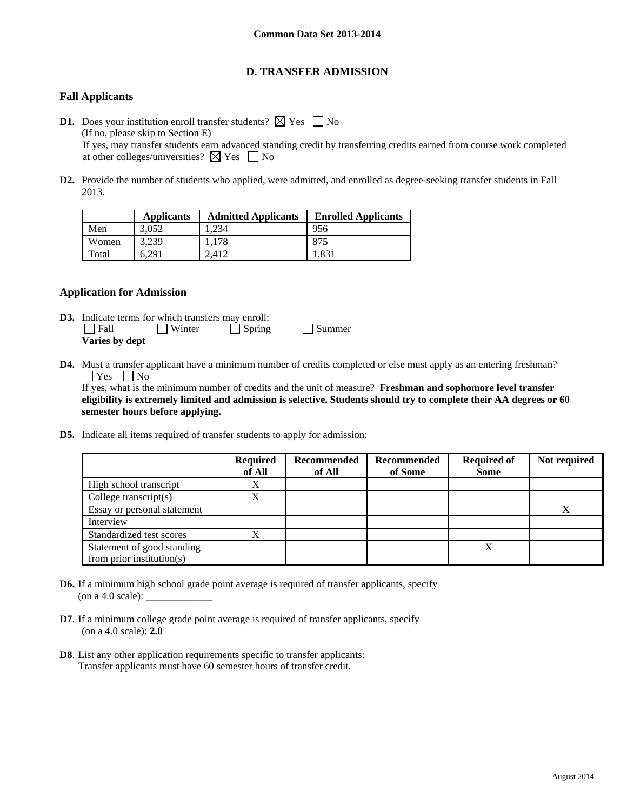# **D. TRANSFER ADMISSION**

# **Fall Applicants**

- **D1.** Does your institution enroll transfer students?  $\boxtimes$  Yes  $\Box$  No (If no, please skip to Section E) If yes, may transfer students earn advanced standing credit by transferring credits earned from course work completed at other colleges/universities?  $\boxtimes$  Yes  $\Box$  No
- **D2.** Provide the number of students who applied, were admitted, and enrolled as degree-seeking transfer students in Fall 2013.

|       | <b>Applicants</b> | <b>Admitted Applicants</b> | <b>Enrolled Applicants</b> |
|-------|-------------------|----------------------------|----------------------------|
| Men   | 3.052             | .234                       | 956                        |
| Women | 3.239             | 1.178                      | 875                        |
| Total | 6.291             | 2.412                      | 1.831                      |

### **Application for Admission**

- **D3.** Indicate terms for which transfers may enroll: Fall Winter Spring Summer **Varies by dept**
- **D4.** Must a transfer applicant have a minimum number of credits completed or else must apply as an entering freshman?  $\Box$  Yes  $\Box$  No

 If yes, what is the minimum number of credits and the unit of measure? **Freshman and sophomore level transfer eligibility is extremely limited and admission is selective. Students should try to complete their AA degrees or 60 semester hours before applying.** 

**D5.** Indicate all items required of transfer students to apply for admission:

|                             | <b>Required</b><br>of All | Recommended<br>of All | Recommended<br>of Some | <b>Required of</b><br><b>Some</b> | Not required |
|-----------------------------|---------------------------|-----------------------|------------------------|-----------------------------------|--------------|
| High school transcript      | X                         |                       |                        |                                   |              |
| College transcript $(s)$    | X                         |                       |                        |                                   |              |
| Essay or personal statement |                           |                       |                        |                                   |              |
| Interview                   |                           |                       |                        |                                   |              |
| Standardized test scores    | X                         |                       |                        |                                   |              |
| Statement of good standing  |                           |                       |                        | Х                                 |              |
| from prior institution(s)   |                           |                       |                        |                                   |              |

- **D6.** If a minimum high school grade point average is required of transfer applicants, specify (on a 4.0 scale):  $\_\_$
- **D7**. If a minimum college grade point average is required of transfer applicants, specify (on a 4.0 scale): **2.0**
- **D8**. List any other application requirements specific to transfer applicants: Transfer applicants must have 60 semester hours of transfer credit.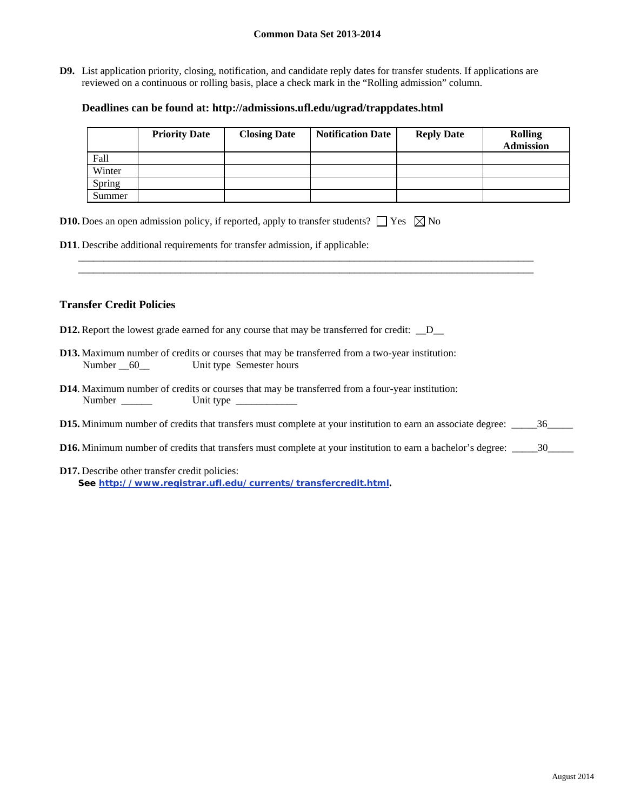**D9.** List application priority, closing, notification, and candidate reply dates for transfer students. If applications are reviewed on a continuous or rolling basis, place a check mark in the "Rolling admission" column.

### **Deadlines can be found at: http://admissions.ufl.edu/ugrad/trappdates.html**

|        | <b>Priority Date</b> | <b>Closing Date</b> | <b>Notification Date</b> | <b>Reply Date</b> | <b>Rolling</b><br><b>Admission</b> |
|--------|----------------------|---------------------|--------------------------|-------------------|------------------------------------|
| Fall   |                      |                     |                          |                   |                                    |
| Winter |                      |                     |                          |                   |                                    |
| Spring |                      |                     |                          |                   |                                    |
| Summer |                      |                     |                          |                   |                                    |

\_\_\_\_\_\_\_\_\_\_\_\_\_\_\_\_\_\_\_\_\_\_\_\_\_\_\_\_\_\_\_\_\_\_\_\_\_\_\_\_\_\_\_\_\_\_\_\_\_\_\_\_\_\_\_\_\_\_\_\_\_\_\_\_\_\_\_\_\_\_\_\_\_\_\_\_\_\_\_\_\_\_\_\_\_\_\_\_\_ \_\_\_\_\_\_\_\_\_\_\_\_\_\_\_\_\_\_\_\_\_\_\_\_\_\_\_\_\_\_\_\_\_\_\_\_\_\_\_\_\_\_\_\_\_\_\_\_\_\_\_\_\_\_\_\_\_\_\_\_\_\_\_\_\_\_\_\_\_\_\_\_\_\_\_\_\_\_\_\_\_\_\_\_\_\_\_\_\_

|  |  |  |  |  | <b>D10.</b> Does an open admission policy, if reported, apply to transfer students? $\Box$ Yes $\boxtimes$ No |  |  |
|--|--|--|--|--|---------------------------------------------------------------------------------------------------------------|--|--|
|--|--|--|--|--|---------------------------------------------------------------------------------------------------------------|--|--|

**D11**. Describe additional requirements for transfer admission, if applicable:

## **Transfer Credit Policies**

- **D12.** Report the lowest grade earned for any course that may be transferred for credit:  $\_\_D$
- **D13.** Maximum number of credits or courses that may be transferred from a two-year institution: Number 60\_\_ Unit type Semester hours
- **D14**. Maximum number of credits or courses that may be transferred from a four-year institution: Number \_\_\_\_\_\_ Unit type \_\_\_\_\_\_\_\_\_\_\_\_
- **D15.** Minimum number of credits that transfers must complete at your institution to earn an associate degree: \_\_\_\_\_36\_\_\_\_\_
- **D16.** Minimum number of credits that transfers must complete at your institution to earn a bachelor's degree: \_\_\_\_\_\_30\_\_\_\_\_\_
- **D17.** Describe other transfer credit policies: **See http://www.registrar.ufl.edu/currents/transfercredit.html.**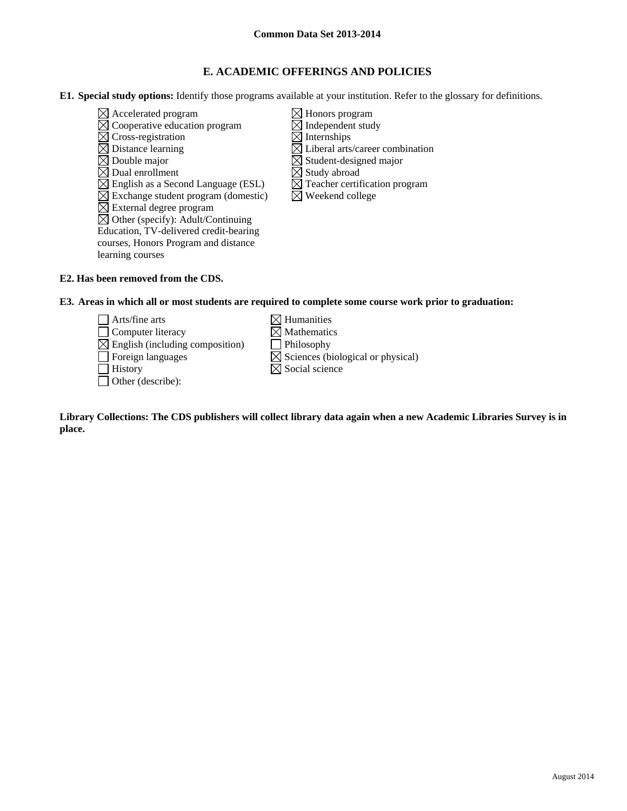# **E. ACADEMIC OFFERINGS AND POLICIES**

**E1. Special study options:** Identify those programs available at your institution. Refer to the glossary for definitions.

- $\boxtimes$  Accelerated program  $\boxtimes$  Honors program  $\boxtimes$  Cooperative education program  $\boxtimes$  Independent study<br>  $\boxtimes$  Cross-registration  $\boxtimes$  Internships  $\overline{\boxtimes}$  Cross-registration  $\boxtimes$  Distance learning  $\boxtimes$  Liberal arts/career combination  $\boxtimes$  Double major<br>  $\boxtimes$  Dual enrollment<br>  $\boxtimes$  Study abroad  $\boxtimes$  Dual enrollment  $\boxtimes$  English as a Second Language (ESL)  $\boxtimes$  Teacher certification program  $\boxtimes$  Exchange student program (domestic)  $\boxtimes$  Weekend college  $\boxtimes$  External degree program  $\boxtimes$  Other (specify): Adult/Continuing Education, TV-delivered credit-bearing courses, Honors Program and distance learning courses
	-
	-

**E2. Has been removed from the CDS.** 

**E3. Areas in which all or most students are required to complete some course work prior to graduation:** 

 $\Box$  Arts/fine arts  $\boxtimes$  Humanities  $\Box$  Computer literacy  $\boxtimes$  Mathematics  $\boxtimes$  English (including composition) Philosophy  $\Box$  Foreign languages  $\boxtimes$  Sciences (biological or physical)  $\Box$  History  $\boxtimes$  Social science Other (describe):

**Library Collections: The CDS publishers will collect library data again when a new Academic Libraries Survey is in place.**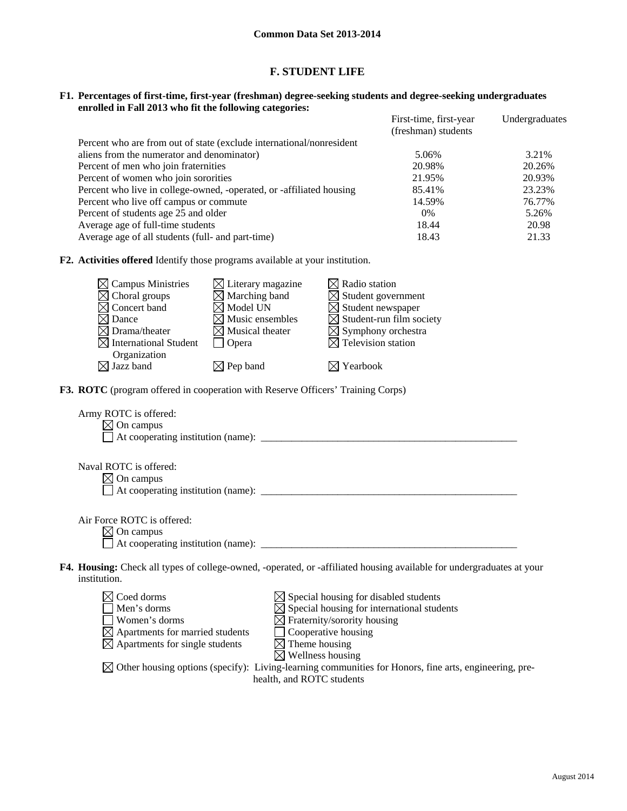## **F. STUDENT LIFE**

#### **F1. Percentages of first-time, first-year (freshman) degree-seeking students and degree-seeking undergraduates enrolled in Fall 2013 who fit the following categories:**

|                                                                      | First-time, first-year | Undergraduates |
|----------------------------------------------------------------------|------------------------|----------------|
|                                                                      | (freshman) students    |                |
| Percent who are from out of state (exclude international/nonresident |                        |                |
| aliens from the numerator and denominator)                           | 5.06%                  | 3.21%          |
| Percent of men who join fraternities                                 | 20.98%                 | 20.26%         |
| Percent of women who join sororities                                 | 21.95%                 | 20.93%         |
| Percent who live in college-owned, -operated, or -affiliated housing | 85.41%                 | 23.23%         |
| Percent who live off campus or commute                               | 14.59%                 | 76.77%         |
| Percent of students age 25 and older                                 | $0\%$                  | 5.26%          |
| Average age of full-time students                                    | 18.44                  | 20.98          |
| Average age of all students (full- and part-time)                    | 18.43                  | 21.33          |

**F2. Activities offered** Identify those programs available at your institution.

| $\boxtimes$ Campus Ministries<br>$\boxtimes$ Choral groups<br>Concert band<br>Dance<br>$\times$ Drama/theater                                       | $\boxtimes$ Literary magazine<br>$\boxtimes$ Marching band<br>$\boxtimes$ Model UN<br>Music ensembles<br>$\boxtimes$ Musical theater |                                                                                     | $\boxtimes$ Radio station<br>$\boxtimes$ Student government<br>$\boxtimes$ Student newspaper<br>$\boxtimes$ Student-run film society<br>$\boxtimes$ Symphony orchestra |  |
|-----------------------------------------------------------------------------------------------------------------------------------------------------|--------------------------------------------------------------------------------------------------------------------------------------|-------------------------------------------------------------------------------------|------------------------------------------------------------------------------------------------------------------------------------------------------------------------|--|
| $\boxtimes$ International Student                                                                                                                   | $\Box$ Opera                                                                                                                         |                                                                                     | $\boxtimes$ Television station                                                                                                                                         |  |
| Organization<br>$\boxtimes$ Jazz band                                                                                                               | $\boxtimes$ Pep band                                                                                                                 |                                                                                     | $\boxtimes$ Yearbook                                                                                                                                                   |  |
| F3. ROTC (program offered in cooperation with Reserve Officers' Training Corps)                                                                     |                                                                                                                                      |                                                                                     |                                                                                                                                                                        |  |
| Army ROTC is offered:<br>$\boxtimes$ On campus                                                                                                      |                                                                                                                                      |                                                                                     |                                                                                                                                                                        |  |
| Naval ROTC is offered:<br>$\boxtimes$ On campus                                                                                                     |                                                                                                                                      |                                                                                     |                                                                                                                                                                        |  |
| Air Force ROTC is offered:<br>$\boxtimes$ On campus                                                                                                 |                                                                                                                                      |                                                                                     |                                                                                                                                                                        |  |
| institution.                                                                                                                                        |                                                                                                                                      |                                                                                     | F4. Housing: Check all types of college-owned, -operated, or -affiliated housing available for undergraduates at your                                                  |  |
| $\boxtimes$ Coed dorms<br>Men's dorms<br>Women's dorms<br>$\boxtimes$ Apartments for married students<br>$\boxtimes$ Apartments for single students |                                                                                                                                      | Cooperative housing<br>$\boxtimes$ Theme housing<br>Wellness housing<br>$\boxtimes$ | $\boxtimes$ Special housing for disabled students<br>$\boxtimes$ Special housing for international students<br>$\boxtimes$ Fraternity/sorority housing                 |  |

 $\boxtimes$  Other housing options (specify): Living-learning communities for Honors, fine arts, engineering, prehealth, and ROTC students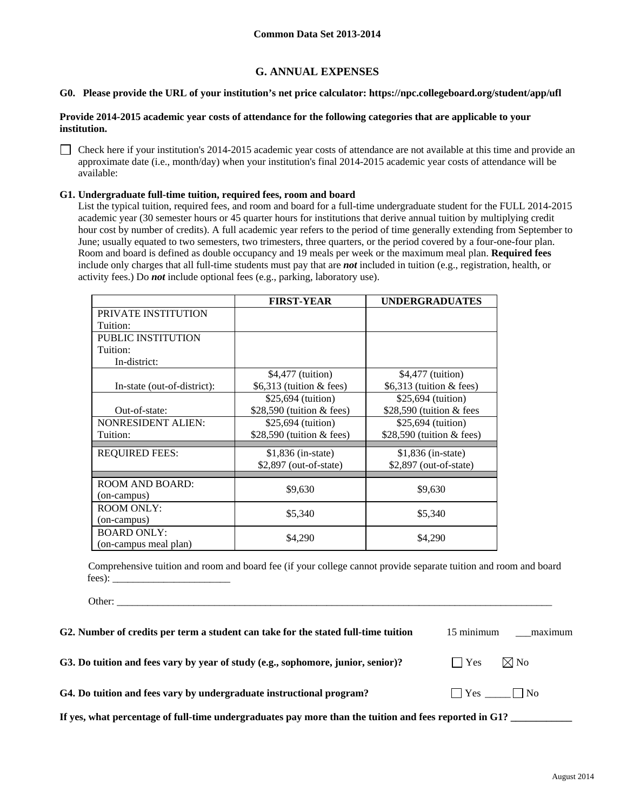# **G. ANNUAL EXPENSES**

#### **G0. Please provide the URL of your institution's net price calculator: https://npc.collegeboard.org/student/app/ufl**

#### **Provide 2014-2015 academic year costs of attendance for the following categories that are applicable to your institution.**

 Check here if your institution's 2014-2015 academic year costs of attendance are not available at this time and provide an approximate date (i.e., month/day) when your institution's final 2014-2015 academic year costs of attendance will be available:

#### **G1. Undergraduate full-time tuition, required fees, room and board**

List the typical tuition, required fees, and room and board for a full-time undergraduate student for the FULL 2014-2015 academic year (30 semester hours or 45 quarter hours for institutions that derive annual tuition by multiplying credit hour cost by number of credits). A full academic year refers to the period of time generally extending from September to June; usually equated to two semesters, two trimesters, three quarters, or the period covered by a four-one-four plan. Room and board is defined as double occupancy and 19 meals per week or the maximum meal plan. **Required fees** include only charges that all full-time students must pay that are *not* included in tuition (e.g., registration, health, or activity fees.) Do *not* include optional fees (e.g., parking, laboratory use).

|                             | <b>FIRST-YEAR</b>           | <b>UNDERGRADUATES</b>       |
|-----------------------------|-----------------------------|-----------------------------|
| PRIVATE INSTITUTION         |                             |                             |
| Tuition:                    |                             |                             |
| <b>PUBLIC INSTITUTION</b>   |                             |                             |
| Tuition:                    |                             |                             |
| In-district:                |                             |                             |
|                             | \$4,477 (tuition)           | \$4,477 (tuition)           |
| In-state (out-of-district): | \$6,313 (tuition $&$ fees)  | \$6,313 (tuition $&$ fees)  |
|                             | \$25,694 (tuition)          | \$25,694 (tuition)          |
| Out-of-state:               | \$28,590 (tuition $&$ fees) | \$28,590 (tuition $&$ fees  |
| <b>NONRESIDENT ALIEN:</b>   | \$25,694 (tuition)          | \$25,694 (tuition)          |
| Tuition:                    | \$28,590 (tuition $&$ fees) | \$28,590 (tuition $&$ fees) |
| <b>REQUIRED FEES:</b>       | $$1,836$ (in-state)         | $$1,836$ (in-state)         |
|                             | $$2,897$ (out-of-state)     | \$2,897 (out-of-state)      |
| <b>ROOM AND BOARD:</b>      |                             |                             |
| (on-campus)                 | \$9,630                     | \$9,630                     |
| <b>ROOM ONLY:</b>           | \$5,340                     | \$5,340                     |
| (on-campus)                 |                             |                             |
| <b>BOARD ONLY:</b>          | \$4,290                     | \$4,290                     |
| (on-campus meal plan)       |                             |                             |

Comprehensive tuition and room and board fee (if your college cannot provide separate tuition and room and board fees):

Other: \_\_\_\_\_\_\_\_\_\_\_\_\_\_\_\_\_\_\_\_\_\_\_\_\_\_\_\_\_\_\_\_\_\_\_\_\_\_\_\_\_\_\_\_\_\_\_\_\_\_\_\_\_\_\_\_\_\_\_\_\_\_\_\_\_\_\_\_\_\_\_\_\_\_\_\_\_\_\_\_\_\_\_\_\_

| G2. Number of credits per term a student can take for the stated full-time tuition                     | 15 minimum    | maximum              |  |  |
|--------------------------------------------------------------------------------------------------------|---------------|----------------------|--|--|
| G3. Do tuition and fees vary by year of study (e.g., sophomore, junior, senior)?                       | $ $ $ $ $Yes$ | $\boxtimes$ No       |  |  |
| G4. Do tuition and fees vary by undergraduate instructional program?                                   |               | $\Box$ Yes $\Box$ No |  |  |
| If yes, what percentage of full-time undergraduates pay more than the tuition and fees reported in G1? |               |                      |  |  |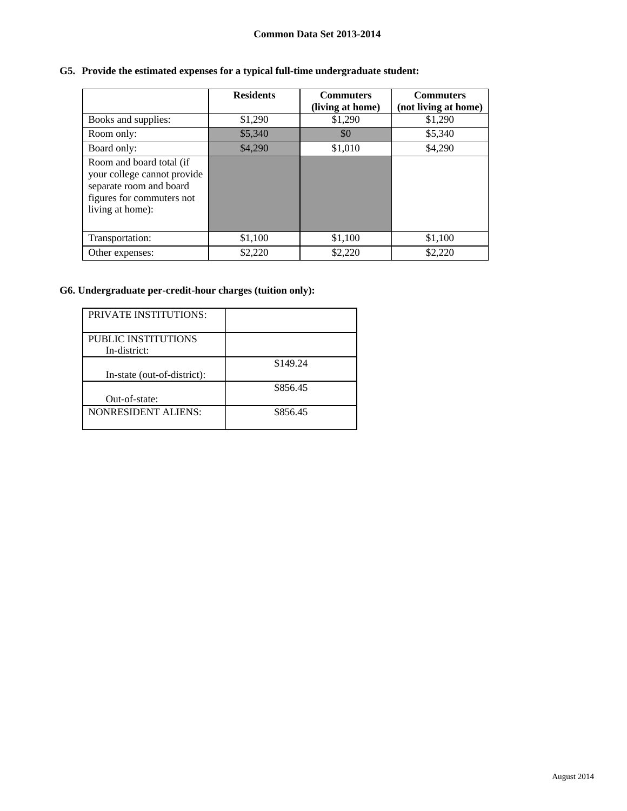# **G5. Provide the estimated expenses for a typical full-time undergraduate student:**

|                                                                                                                                     | <b>Residents</b> | <b>Commuters</b><br>(living at home) | <b>Commuters</b><br>(not living at home) |
|-------------------------------------------------------------------------------------------------------------------------------------|------------------|--------------------------------------|------------------------------------------|
| Books and supplies:                                                                                                                 | \$1,290          | \$1,290                              | \$1,290                                  |
| Room only:                                                                                                                          | \$5,340          | \$0                                  | \$5,340                                  |
| Board only:                                                                                                                         | \$4,290          | \$1,010                              | \$4,290                                  |
| Room and board total (if<br>your college cannot provide<br>separate room and board<br>figures for commuters not<br>living at home): |                  |                                      |                                          |
| Transportation:                                                                                                                     | \$1,100          | \$1,100                              | \$1,100                                  |
| Other expenses:                                                                                                                     | \$2,220          | \$2,220                              | \$2,220                                  |

# **G6. Undergraduate per-credit-hour charges (tuition only):**

| <b>PRIVATE INSTITUTIONS:</b> |          |
|------------------------------|----------|
|                              |          |
| PUBLIC INSTITUTIONS          |          |
| In-district:                 |          |
|                              | \$149.24 |
| In-state (out-of-district):  |          |
|                              | \$856.45 |
| Out-of-state:                |          |
| <b>NONRESIDENT ALIENS:</b>   | \$856.45 |
|                              |          |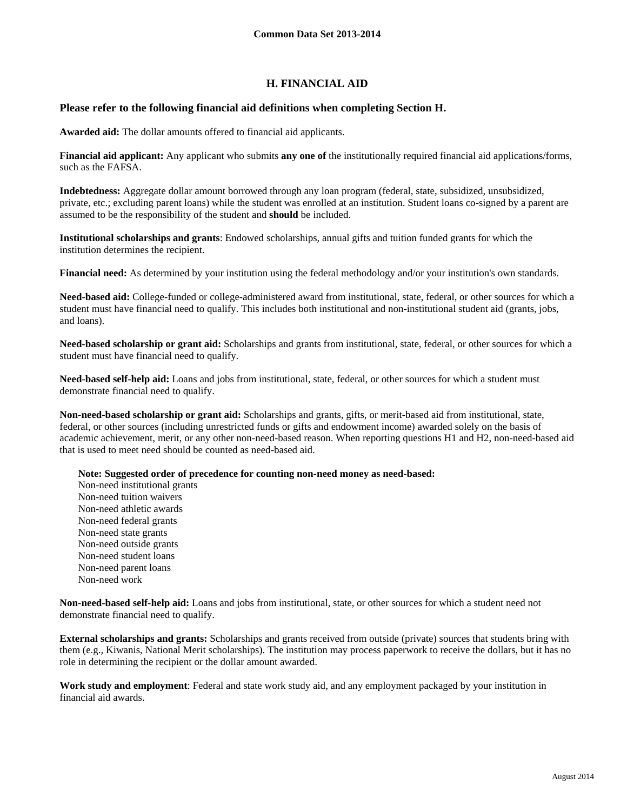# **H. FINANCIAL AID**

#### **Please refer to the following financial aid definitions when completing Section H.**

**Awarded aid:** The dollar amounts offered to financial aid applicants.

**Financial aid applicant:** Any applicant who submits **any one of** the institutionally required financial aid applications/forms, such as the FAFSA.

**Indebtedness:** Aggregate dollar amount borrowed through any loan program (federal, state, subsidized, unsubsidized, private, etc.; excluding parent loans) while the student was enrolled at an institution. Student loans co-signed by a parent are assumed to be the responsibility of the student and **should** be included.

**Institutional scholarships and grants**: Endowed scholarships, annual gifts and tuition funded grants for which the institution determines the recipient.

**Financial need:** As determined by your institution using the federal methodology and/or your institution's own standards.

**Need-based aid:** College-funded or college-administered award from institutional, state, federal, or other sources for which a student must have financial need to qualify. This includes both institutional and non-institutional student aid (grants, jobs, and loans).

**Need-based scholarship or grant aid:** Scholarships and grants from institutional, state, federal, or other sources for which a student must have financial need to qualify.

**Need-based self-help aid:** Loans and jobs from institutional, state, federal, or other sources for which a student must demonstrate financial need to qualify.

**Non-need-based scholarship or grant aid:** Scholarships and grants, gifts, or merit-based aid from institutional, state, federal, or other sources (including unrestricted funds or gifts and endowment income) awarded solely on the basis of academic achievement, merit, or any other non-need-based reason. When reporting questions H1 and H2, non-need-based aid that is used to meet need should be counted as need-based aid.

**Note: Suggested order of precedence for counting non-need money as need-based:** 

Non-need institutional grants Non-need tuition waivers Non-need athletic awards Non-need federal grants Non-need state grants Non-need outside grants Non-need student loans Non-need parent loans Non-need work

**Non-need-based self-help aid:** Loans and jobs from institutional, state, or other sources for which a student need not demonstrate financial need to qualify.

**External scholarships and grants:** Scholarships and grants received from outside (private) sources that students bring with them (e.g., Kiwanis, National Merit scholarships). The institution may process paperwork to receive the dollars, but it has no role in determining the recipient or the dollar amount awarded.

**Work study and employment**: Federal and state work study aid, and any employment packaged by your institution in financial aid awards.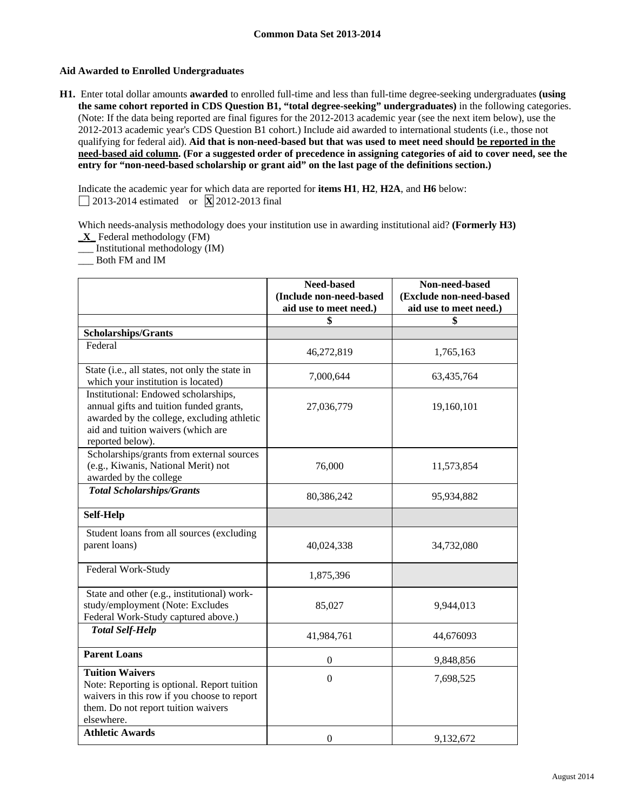### **Aid Awarded to Enrolled Undergraduates**

**H1.** Enter total dollar amounts **awarded** to enrolled full-time and less than full-time degree-seeking undergraduates **(using the same cohort reported in CDS Question B1, "total degree-seeking" undergraduates)** in the following categories. (Note: If the data being reported are final figures for the 2012-2013 academic year (see the next item below), use the 2012-2013 academic year's CDS Question B1 cohort.) Include aid awarded to international students (i.e., those not qualifying for federal aid). **Aid that is non-need-based but that was used to meet need should be reported in the need-based aid column. (For a suggested order of precedence in assigning categories of aid to cover need, see the entry for "non-need-based scholarship or grant aid" on the last page of the definitions section.)** 

Indicate the academic year for which data are reported for **items H1**, **H2**, **H2A**, and **H6** below: 2013-2014 estimated or **X** 2012-2013 final

Which needs-analysis methodology does your institution use in awarding institutional aid? **(Formerly H3)** 

**\_X\_** Federal methodology (FM)

\_\_\_ Institutional methodology (IM)

\_\_\_ Both FM and IM

|                                                                                                                                                                                         | <b>Need-based</b><br>(Include non-need-based<br>aid use to meet need.) | Non-need-based<br>(Exclude non-need-based<br>aid use to meet need.) |
|-----------------------------------------------------------------------------------------------------------------------------------------------------------------------------------------|------------------------------------------------------------------------|---------------------------------------------------------------------|
|                                                                                                                                                                                         | \$                                                                     | \$                                                                  |
| <b>Scholarships/Grants</b>                                                                                                                                                              |                                                                        |                                                                     |
| Federal                                                                                                                                                                                 | 46,272,819                                                             | 1,765,163                                                           |
| State (i.e., all states, not only the state in<br>which your institution is located)                                                                                                    | 7,000,644                                                              | 63,435,764                                                          |
| Institutional: Endowed scholarships,<br>annual gifts and tuition funded grants,<br>awarded by the college, excluding athletic<br>aid and tuition waivers (which are<br>reported below). | 27,036,779                                                             | 19,160,101                                                          |
| Scholarships/grants from external sources<br>(e.g., Kiwanis, National Merit) not<br>awarded by the college                                                                              | 76,000                                                                 | 11,573,854                                                          |
| <b>Total Scholarships/Grants</b>                                                                                                                                                        | 80,386,242                                                             | 95,934,882                                                          |
| <b>Self-Help</b>                                                                                                                                                                        |                                                                        |                                                                     |
| Student loans from all sources (excluding<br>parent loans)                                                                                                                              | 40,024,338                                                             | 34,732,080                                                          |
| Federal Work-Study                                                                                                                                                                      | 1,875,396                                                              |                                                                     |
| State and other (e.g., institutional) work-<br>study/employment (Note: Excludes<br>Federal Work-Study captured above.)                                                                  | 85,027                                                                 | 9,944,013                                                           |
| <b>Total Self-Help</b>                                                                                                                                                                  | 41,984,761                                                             | 44,676093                                                           |
| <b>Parent Loans</b>                                                                                                                                                                     | 0                                                                      | 9,848,856                                                           |
| <b>Tuition Waivers</b><br>Note: Reporting is optional. Report tuition<br>waivers in this row if you choose to report<br>them. Do not report tuition waivers<br>elsewhere.               | $\boldsymbol{0}$                                                       | 7,698,525                                                           |
| <b>Athletic Awards</b>                                                                                                                                                                  | $\mathbf{0}$                                                           | 9,132,672                                                           |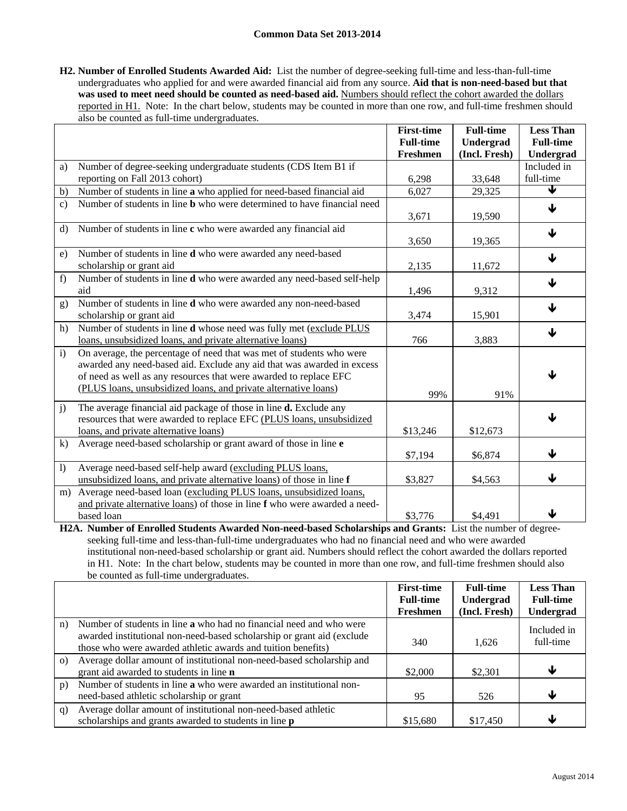**H2. Number of Enrolled Students Awarded Aid:** List the number of degree-seeking full-time and less-than-full-time undergraduates who applied for and were awarded financial aid from any source. **Aid that is non-need-based but that**  was used to meet need should be counted as need-based aid. Numbers should reflect the cohort awarded the dollars reported in H1. Note: In the chart below, students may be counted in more than one row, and full-time freshmen should also be counted as full-time undergraduates.

|                  |                                                                                                                                                                                                                                                                                        | <b>First-time</b><br><b>Full-time</b> | <b>Full-time</b><br>Undergrad | <b>Less Than</b><br><b>Full-time</b> |
|------------------|----------------------------------------------------------------------------------------------------------------------------------------------------------------------------------------------------------------------------------------------------------------------------------------|---------------------------------------|-------------------------------|--------------------------------------|
|                  |                                                                                                                                                                                                                                                                                        | Freshmen                              | (Incl. Fresh)                 | Undergrad                            |
| a)               | Number of degree-seeking undergraduate students (CDS Item B1 if<br>reporting on Fall 2013 cohort)                                                                                                                                                                                      |                                       |                               | Included in<br>full-time             |
| b)               |                                                                                                                                                                                                                                                                                        | 6,298<br>6,027                        | 33,648<br>29,325              | ↓                                    |
|                  | Number of students in line a who applied for need-based financial aid<br>Number of students in line <b>b</b> who were determined to have financial need                                                                                                                                |                                       |                               |                                      |
| $\mathbf{c}$     |                                                                                                                                                                                                                                                                                        | 3,671                                 | 19,590                        | ↓                                    |
| $\rm d$          | Number of students in line c who were awarded any financial aid                                                                                                                                                                                                                        | 3,650                                 | 19,365                        | ↓                                    |
| e)               | Number of students in line <b>d</b> who were awarded any need-based<br>scholarship or grant aid                                                                                                                                                                                        | 2,135                                 | 11,672                        | ↓                                    |
| f)               | Number of students in line d who were awarded any need-based self-help<br>aid                                                                                                                                                                                                          | 1,496                                 | 9,312                         | ↓                                    |
| g)               | Number of students in line d who were awarded any non-need-based<br>scholarship or grant aid                                                                                                                                                                                           | 3,474                                 | 15,901                        | ↓                                    |
| h)               | Number of students in line d whose need was fully met (exclude PLUS<br>loans, unsubsidized loans, and private alternative loans)                                                                                                                                                       | 766                                   | 3,883                         | $\blacklozenge$                      |
| i)               | On average, the percentage of need that was met of students who were<br>awarded any need-based aid. Exclude any aid that was awarded in excess<br>of need as well as any resources that were awarded to replace EFC<br>(PLUS loans, unsubsidized loans, and private alternative loans) | 99%                                   | 91%                           | J                                    |
| j)               | The average financial aid package of those in line <b>d.</b> Exclude any<br>resources that were awarded to replace EFC (PLUS loans, unsubsidized<br>loans, and private alternative loans)                                                                                              | \$13,246                              | \$12,673                      | ↓                                    |
| k)               | Average need-based scholarship or grant award of those in line e                                                                                                                                                                                                                       | \$7,194                               | \$6,874                       | ↓                                    |
| $\left  \right $ | Average need-based self-help award (excluding PLUS loans,<br>unsubsidized loans, and private alternative loans) of those in line f                                                                                                                                                     | \$3,827                               | \$4,563                       | ↓                                    |
| m)               | Average need-based loan (excluding PLUS loans, unsubsidized loans,<br>and private alternative loans) of those in line f who were awarded a need-<br>based loan                                                                                                                         | \$3,776                               | \$4,491                       | ↓                                    |

**H2A. Number of Enrolled Students Awarded Non-need-based Scholarships and Grants:** List the number of degreeseeking full-time and less-than-full-time undergraduates who had no financial need and who were awarded institutional non-need-based scholarship or grant aid. Numbers should reflect the cohort awarded the dollars reported in H1. Note: In the chart below, students may be counted in more than one row, and full-time freshmen should also be counted as full-time undergraduates.

|          |                                                                        | <b>First-time</b> | <b>Full-time</b> | <b>Less Than</b> |
|----------|------------------------------------------------------------------------|-------------------|------------------|------------------|
|          |                                                                        | <b>Full-time</b>  | Undergrad        | <b>Full-time</b> |
|          |                                                                        | Freshmen          | (Incl. Fresh)    | Undergrad        |
| n)       | Number of students in line a who had no financial need and who were    |                   |                  | Included in      |
|          | awarded institutional non-need-based scholarship or grant aid (exclude | 340               | 1,626            | full-time        |
|          | those who were awarded athletic awards and tuition benefits)           |                   |                  |                  |
| $\Omega$ | Average dollar amount of institutional non-need-based scholarship and  |                   |                  |                  |
|          | grant aid awarded to students in line <b>n</b>                         | \$2,000           | \$2,301          | ↓                |
| p)       | Number of students in line a who were awarded an institutional non-    |                   |                  |                  |
|          | need-based athletic scholarship or grant                               | 95                | 526              | ₩                |
| q)       | Average dollar amount of institutional non-need-based athletic         |                   |                  |                  |
|          | scholarships and grants awarded to students in line <b>p</b>           | \$15,680          | \$17,450         | Ψ                |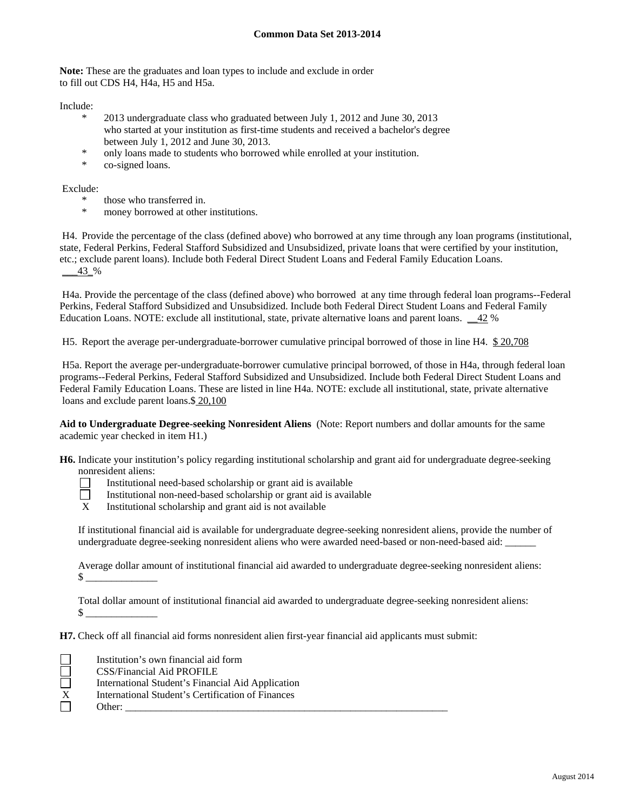**Note:** These are the graduates and loan types to include and exclude in order to fill out CDS H4, H4a, H5 and H5a.

Include:

- 2013 undergraduate class who graduated between July 1, 2012 and June 30, 2013 who started at your institution as first-time students and received a bachelor's degree between July 1, 2012 and June 30, 2013.
- \* only loans made to students who borrowed while enrolled at your institution.
- co-signed loans.

Exclude:

- \* those who transferred in.
- money borrowed at other institutions.

 H4. Provide the percentage of the class (defined above) who borrowed at any time through any loan programs (institutional, state, Federal Perkins, Federal Stafford Subsidized and Unsubsidized, private loans that were certified by your institution, etc.; exclude parent loans). Include both Federal Direct Student Loans and Federal Family Education Loans.  $-43$  %

 H4a. Provide the percentage of the class (defined above) who borrowed at any time through federal loan programs--Federal Perkins, Federal Stafford Subsidized and Unsubsidized. Include both Federal Direct Student Loans and Federal Family Education Loans. NOTE: exclude all institutional, state, private alternative loans and parent loans. \_\_42 %

H5. Report the average per-undergraduate-borrower cumulative principal borrowed of those in line H4. \$ 20,708

 H5a. Report the average per-undergraduate-borrower cumulative principal borrowed, of those in H4a, through federal loan programs--Federal Perkins, Federal Stafford Subsidized and Unsubsidized. Include both Federal Direct Student Loans and Federal Family Education Loans. These are listed in line H4a. NOTE: exclude all institutional, state, private alternative loans and exclude parent loans.\$ 20,100

**Aid to Undergraduate Degree-seeking Nonresident Aliens** (Note: Report numbers and dollar amounts for the same academic year checked in item H1.)

**H6.** Indicate your institution's policy regarding institutional scholarship and grant aid for undergraduate degree-seeking nonresident aliens:

- Institutional need-based scholarship or grant aid is available
- Institutional non-need-based scholarship or grant aid is available  $X$  Institutional scholarship and grant aid is not available
	- Institutional scholarship and grant aid is not available

If institutional financial aid is available for undergraduate degree-seeking nonresident aliens, provide the number of undergraduate degree-seeking nonresident aliens who were awarded need-based or non-need-based aid: \_\_\_\_\_\_

Average dollar amount of institutional financial aid awarded to undergraduate degree-seeking nonresident aliens:  $\mathbb{S}$ 

Total dollar amount of institutional financial aid awarded to undergraduate degree-seeking nonresident aliens:  $\mathcal{S}$ 

**H7.** Check off all financial aid forms nonresident alien first-year financial aid applicants must submit:

 Institution's own financial aid form CSS/Financial Aid PROFILE International Student's Financial Aid Application International Student's Certification of Finances

# Other:  $\frac{\ }{\ }$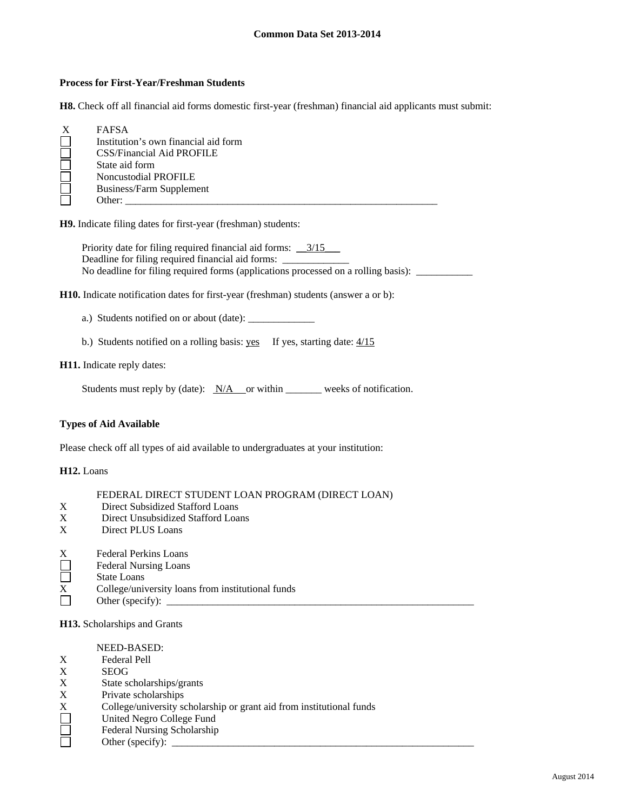#### **Process for First-Year/Freshman Students**

**H8.** Check off all financial aid forms domestic first-year (freshman) financial aid applicants must submit:

| <b>FAFSA</b>                         |
|--------------------------------------|
| Institution's own financial aid form |
| CSS/Financial Aid PROFILE            |
| State aid form                       |
| Noncustodial PROFILE                 |
| <b>Business/Farm Supplement</b>      |
| Other:                               |

**H9.** Indicate filing dates for first-year (freshman) students:

Priority date for filing required financial aid forms: \_\_3/15\_\_\_ Deadline for filing required financial aid forms: \_ No deadline for filing required forms (applications processed on a rolling basis): \_\_\_\_\_\_\_\_\_\_\_\_\_\_\_\_\_\_\_\_\_\_\_\_\_\_\_

**H10.** Indicate notification dates for first-year (freshman) students (answer a or b):

a.) Students notified on or about (date): \_\_\_\_\_\_\_\_\_\_\_\_\_

b.) Students notified on a rolling basis: yes If yes, starting date:  $4/15$ 

#### **H11.** Indicate reply dates:

Students must reply by (date):  $N/A$  or within weeks of notification.

### **Types of Aid Available**

Please check off all types of aid available to undergraduates at your institution:

#### **H12.** Loans

- X Direct Subsidized Stafford Loans<br>X Direct Unsubsidized Stafford Loan
- Direct Unsubsidized Stafford Loans
- X Direct PLUS Loans

- Federal Nursing Loans
- $\Box$ State Loans
- $\overline{X}$  College/university loans from institutional funds
- П Other (specify): \_\_\_\_\_\_\_\_\_\_\_\_\_\_\_\_\_\_\_\_\_\_\_\_\_\_\_\_\_\_\_\_\_\_\_\_\_\_\_\_\_\_\_\_\_\_\_\_\_\_\_\_\_\_\_\_\_\_\_\_

#### **H13.** Scholarships and Grants

#### NEED-BASED:

- X Federal Pell
- X SEOG
- X State scholarships/grants
- X Private scholarships
- X College/university scholarship or grant aid from institutional funds<br>
United Negro College Fund<br>
Federal Nursing Scholarship<br>
Other (specify):
- United Negro College Fund
- Federal Nursing Scholarship
	- Other (specify): \_\_\_\_\_\_\_\_\_\_\_\_\_\_\_\_\_\_\_\_\_\_\_\_\_\_\_\_\_\_\_\_\_\_\_\_\_\_\_\_\_\_\_\_\_\_\_\_\_\_\_\_\_\_\_\_\_\_\_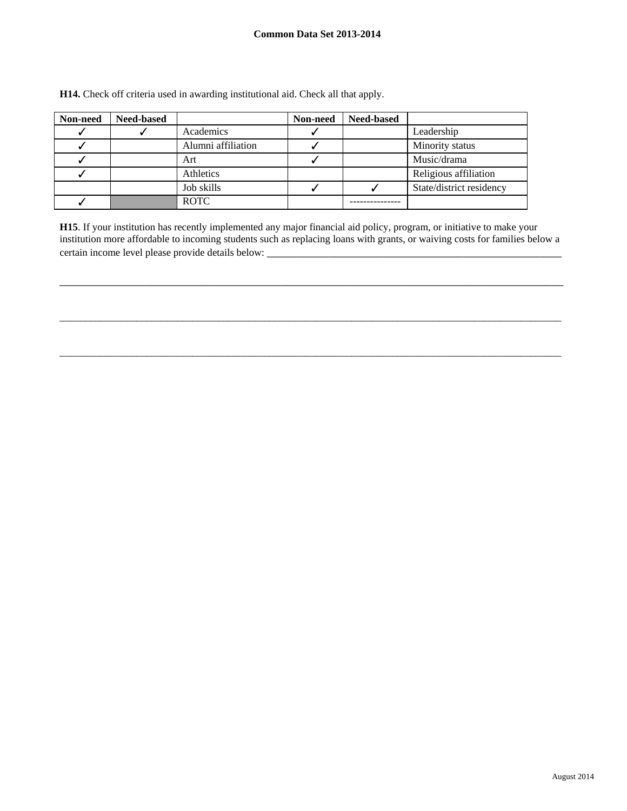| Non-need | <b>Need-based</b> |                    | Non-need | <b>Need-based</b> |                          |
|----------|-------------------|--------------------|----------|-------------------|--------------------------|
|          |                   | Academics          |          |                   | Leadership               |
|          |                   | Alumni affiliation |          |                   | Minority status          |
|          |                   | Art                |          |                   | Music/drama              |
|          |                   | Athletics          |          |                   | Religious affiliation    |
|          |                   | Job skills         |          |                   | State/district residency |
|          |                   | <b>ROTC</b>        |          |                   |                          |

**H14.** Check off criteria used in awarding institutional aid. Check all that apply.

**H15**. If your institution has recently implemented any major financial aid policy, program, or initiative to make your institution more affordable to incoming students such as replacing loans with grants, or waiving costs for families below a certain income level please provide details below: \_\_\_\_\_\_\_\_\_\_\_\_\_\_\_\_\_\_\_\_\_\_\_\_\_\_\_\_\_\_

\_\_\_\_\_\_\_\_\_\_\_\_\_\_\_\_\_\_\_\_\_\_\_\_\_\_\_\_\_\_\_\_\_\_\_\_\_\_\_\_\_\_\_\_\_\_\_\_\_\_\_\_\_\_\_\_\_\_\_\_\_\_\_\_\_\_\_\_\_\_\_\_\_\_\_\_\_\_\_\_\_\_

 $\_$  , and the set of the set of the set of the set of the set of the set of the set of the set of the set of the set of the set of the set of the set of the set of the set of the set of the set of the set of the set of th

 $\_$  , and the set of the set of the set of the set of the set of the set of the set of the set of the set of the set of the set of the set of the set of the set of the set of the set of the set of the set of the set of th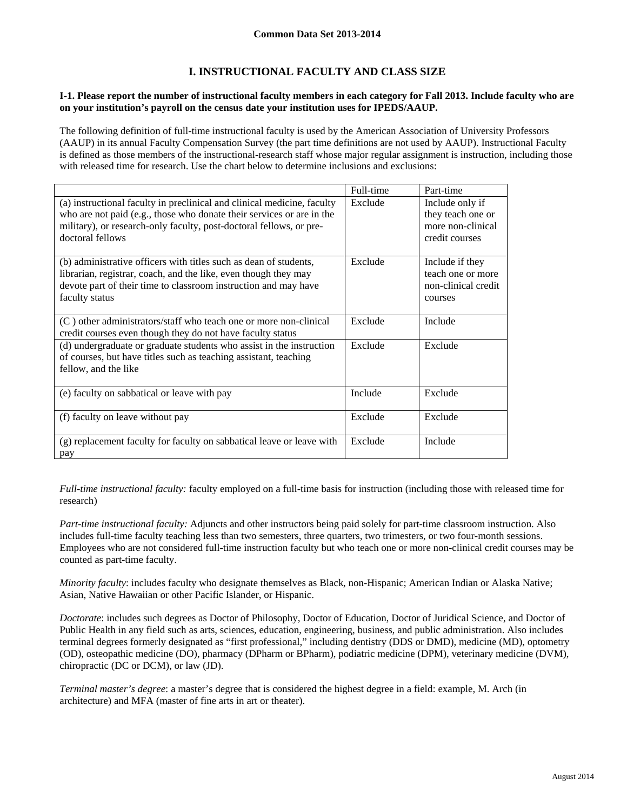# **I. INSTRUCTIONAL FACULTY AND CLASS SIZE**

#### **I-1. Please report the number of instructional faculty members in each category for Fall 2013. Include faculty who are on your institution's payroll on the census date your institution uses for IPEDS/AAUP.**

The following definition of full-time instructional faculty is used by the American Association of University Professors (AAUP) in its annual Faculty Compensation Survey (the part time definitions are not used by AAUP). Instructional Faculty is defined as those members of the instructional-research staff whose major regular assignment is instruction, including those with released time for research. Use the chart below to determine inclusions and exclusions:

|                                                                                                                                                                                                                                             | Full-time | Part-time                                                                   |
|---------------------------------------------------------------------------------------------------------------------------------------------------------------------------------------------------------------------------------------------|-----------|-----------------------------------------------------------------------------|
| (a) instructional faculty in preclinical and clinical medicine, faculty<br>who are not paid (e.g., those who donate their services or are in the<br>military), or research-only faculty, post-doctoral fellows, or pre-<br>doctoral fellows | Exclude   | Include only if<br>they teach one or<br>more non-clinical<br>credit courses |
| (b) administrative officers with titles such as dean of students,<br>librarian, registrar, coach, and the like, even though they may<br>devote part of their time to classroom instruction and may have<br>faculty status                   | Exclude   | Include if they<br>teach one or more<br>non-clinical credit<br>courses      |
| $(C)$ other administrators/staff who teach one or more non-clinical<br>credit courses even though they do not have faculty status                                                                                                           | Exclude   | Include                                                                     |
| (d) undergraduate or graduate students who assist in the instruction<br>of courses, but have titles such as teaching assistant, teaching<br>fellow, and the like                                                                            | Exclude   | Exclude                                                                     |
| (e) faculty on sabbatical or leave with pay                                                                                                                                                                                                 | Include   | Exclude                                                                     |
| (f) faculty on leave without pay                                                                                                                                                                                                            | Exclude   | Exclude                                                                     |
| (g) replacement faculty for faculty on sabbatical leave or leave with<br>pay                                                                                                                                                                | Exclude   | Include                                                                     |

*Full-time instructional faculty:* faculty employed on a full-time basis for instruction (including those with released time for research)

*Part-time instructional faculty:* Adjuncts and other instructors being paid solely for part-time classroom instruction. Also includes full-time faculty teaching less than two semesters, three quarters, two trimesters, or two four-month sessions. Employees who are not considered full-time instruction faculty but who teach one or more non-clinical credit courses may be counted as part-time faculty.

*Minority faculty*: includes faculty who designate themselves as Black, non-Hispanic; American Indian or Alaska Native; Asian, Native Hawaiian or other Pacific Islander, or Hispanic.

*Doctorate*: includes such degrees as Doctor of Philosophy, Doctor of Education, Doctor of Juridical Science, and Doctor of Public Health in any field such as arts, sciences, education, engineering, business, and public administration. Also includes terminal degrees formerly designated as "first professional," including dentistry (DDS or DMD), medicine (MD), optometry (OD), osteopathic medicine (DO), pharmacy (DPharm or BPharm), podiatric medicine (DPM), veterinary medicine (DVM), chiropractic (DC or DCM), or law (JD).

*Terminal master's degree*: a master's degree that is considered the highest degree in a field: example, M. Arch (in architecture) and MFA (master of fine arts in art or theater).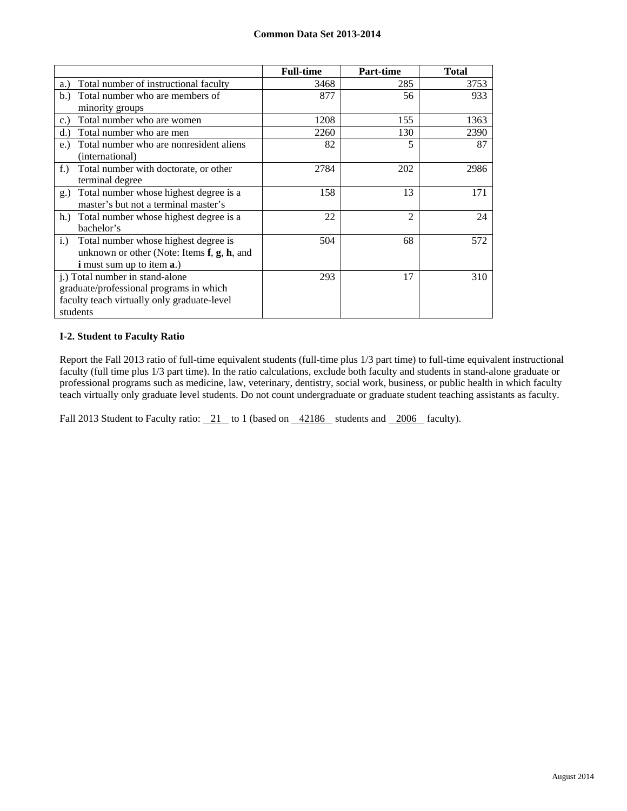|                                                      | <b>Full-time</b> | Part-time      | <b>Total</b> |
|------------------------------------------------------|------------------|----------------|--------------|
| Total number of instructional faculty<br>a.)         | 3468             | 285            | 3753         |
| Total number who are members of<br>b.                | 877              | 56             | 933          |
| minority groups                                      |                  |                |              |
| Total number who are women<br>c.                     | 1208             | 155            | 1363         |
| Total number who are men<br>d.                       | 2260             | 130            | 2390         |
| Total number who are nonresident aliens<br>e.)       | 82               | 5              | 87           |
| (international)                                      |                  |                |              |
| Total number with doctorate, or other<br>$f_{\cdot}$ | 2784             | 202            | 2986         |
| terminal degree                                      |                  |                |              |
| Total number whose highest degree is a<br>g.)        | 158              | 13             | 171          |
| master's but not a terminal master's                 |                  |                |              |
| Total number whose highest degree is a<br>h.         | 22               | $\mathfrak{D}$ | 24           |
| bachelor's                                           |                  |                |              |
| Total number whose highest degree is<br>i.)          | 504              | 68             | 572          |
| unknown or other (Note: Items f, g, h, and           |                  |                |              |
| <b>i</b> must sum up to item <b>a</b> .)             |                  |                |              |
| j.) Total number in stand-alone                      | 293              | 17             | 310          |
| graduate/professional programs in which              |                  |                |              |
| faculty teach virtually only graduate-level          |                  |                |              |
| students                                             |                  |                |              |

## **I-2. Student to Faculty Ratio**

Report the Fall 2013 ratio of full-time equivalent students (full-time plus 1/3 part time) to full-time equivalent instructional faculty (full time plus 1/3 part time). In the ratio calculations, exclude both faculty and students in stand-alone graduate or professional programs such as medicine, law, veterinary, dentistry, social work, business, or public health in which faculty teach virtually only graduate level students. Do not count undergraduate or graduate student teaching assistants as faculty.

Fall 2013 Student to Faculty ratio:  $\frac{21}{21}$  to 1 (based on  $\frac{42186}{2186}$  students and  $\frac{2006}{2006}$  faculty).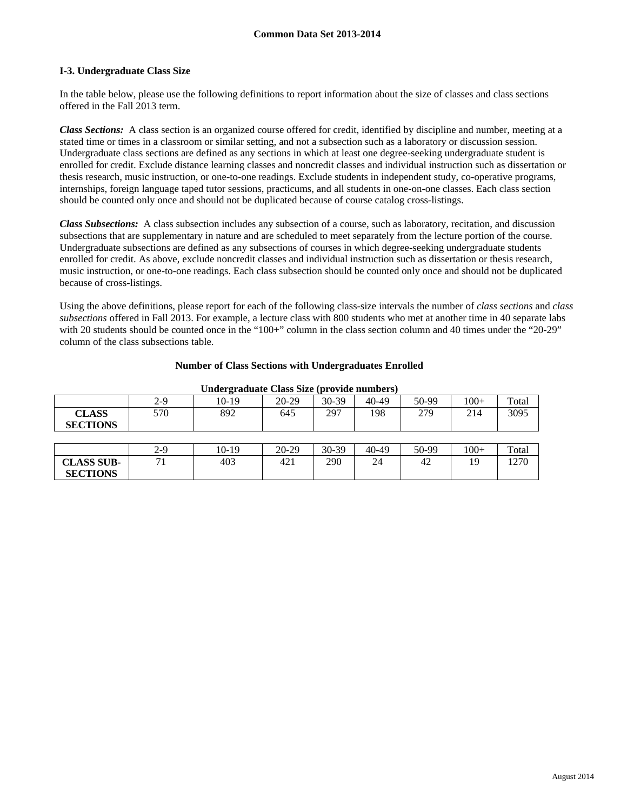#### **I-3. Undergraduate Class Size**

In the table below, please use the following definitions to report information about the size of classes and class sections offered in the Fall 2013 term.

*Class Sections:* A class section is an organized course offered for credit, identified by discipline and number, meeting at a stated time or times in a classroom or similar setting, and not a subsection such as a laboratory or discussion session. Undergraduate class sections are defined as any sections in which at least one degree-seeking undergraduate student is enrolled for credit. Exclude distance learning classes and noncredit classes and individual instruction such as dissertation or thesis research, music instruction, or one-to-one readings. Exclude students in independent study, co-operative programs, internships, foreign language taped tutor sessions, practicums, and all students in one-on-one classes. Each class section should be counted only once and should not be duplicated because of course catalog cross-listings.

*Class Subsections:* A class subsection includes any subsection of a course, such as laboratory, recitation, and discussion subsections that are supplementary in nature and are scheduled to meet separately from the lecture portion of the course. Undergraduate subsections are defined as any subsections of courses in which degree-seeking undergraduate students enrolled for credit. As above, exclude noncredit classes and individual instruction such as dissertation or thesis research, music instruction, or one-to-one readings. Each class subsection should be counted only once and should not be duplicated because of cross-listings.

Using the above definitions, please report for each of the following class-size intervals the number of *class sections* and *class subsections* offered in Fall 2013. For example, a lecture class with 800 students who met at another time in 40 separate labs with 20 students should be counted once in the "100+" column in the class section column and 40 times under the "20-29" column of the class subsections table.

| Undergraduate Class Size (provide numbers) |     |       |         |       |       |       |        |       |
|--------------------------------------------|-----|-------|---------|-------|-------|-------|--------|-------|
|                                            | 2-9 | 10-19 | $20-29$ | 30-39 | 40-49 | 50-99 | $100+$ | Total |
| <b>CLASS</b><br><b>SECTIONS</b>            | 570 | 892   | 645     | 297   | 198   | 279   | 214    | 3095  |
|                                            |     |       |         |       |       |       |        |       |
|                                            | 2-9 | 10-19 | $20-29$ | 30-39 | 40-49 | 50-99 | $100+$ | Total |
|                                            |     |       |         |       |       |       |        |       |
| <b>CLASS SUB-</b>                          | 71  | 403   | 421     | 290   | 24    | 42    | 19     | 1270  |

#### **Number of Class Sections with Undergraduates Enrolled**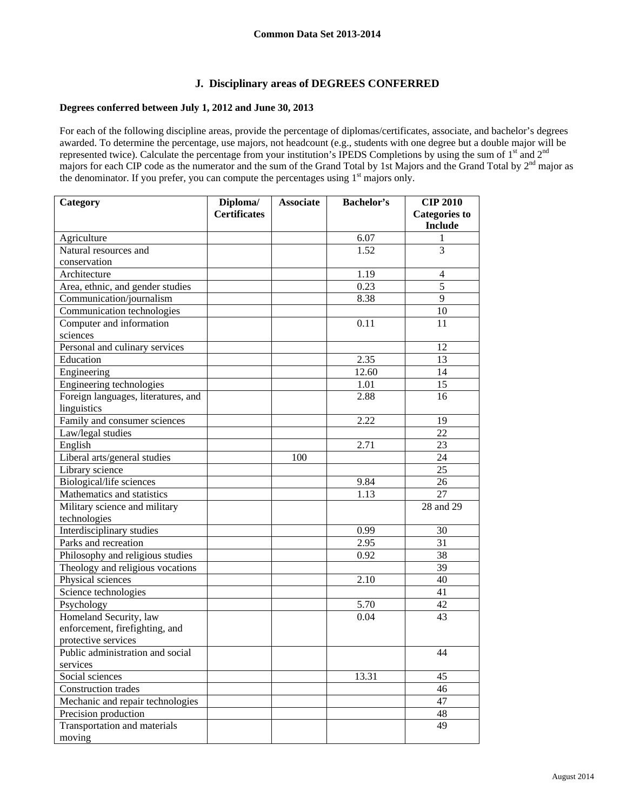## **J. Disciplinary areas of DEGREES CONFERRED**

### **Degrees conferred between July 1, 2012 and June 30, 2013**

For each of the following discipline areas, provide the percentage of diplomas/certificates, associate, and bachelor's degrees awarded. To determine the percentage, use majors, not headcount (e.g., students with one degree but a double major will be represented twice). Calculate the percentage from your institution's IPEDS Completions by using the sum of 1<sup>st</sup> and 2<sup>nd</sup> majors for each CIP code as the numerator and the sum of the Grand Total by 1st Majors and the Grand Total by 2<sup>nd</sup> major as the denominator. If you prefer, you can compute the percentages using  $1<sup>st</sup>$  majors only.

| Category                            | $\overline{\mathbf{D}}$ iploma/ | <b>Associate</b> | <b>Bachelor's</b> | <b>CIP 2010</b>      |
|-------------------------------------|---------------------------------|------------------|-------------------|----------------------|
|                                     | <b>Certificates</b>             |                  |                   | <b>Categories to</b> |
|                                     |                                 |                  |                   | <b>Include</b>       |
| Agriculture                         |                                 |                  | 6.07              | 1                    |
| Natural resources and               |                                 |                  | 1.52              | 3                    |
| conservation                        |                                 |                  |                   |                      |
| Architecture                        |                                 |                  | 1.19              | $\overline{4}$       |
| Area, ethnic, and gender studies    |                                 |                  | 0.23              | $\overline{5}$       |
| Communication/journalism            |                                 |                  | 8.38              | 9                    |
| Communication technologies          |                                 |                  |                   | 10                   |
| Computer and information            |                                 |                  | 0.11              | 11                   |
| sciences                            |                                 |                  |                   |                      |
| Personal and culinary services      |                                 |                  |                   | 12                   |
| Education                           |                                 |                  | 2.35              | 13                   |
| Engineering                         |                                 |                  | 12.60             | 14                   |
| Engineering technologies            |                                 |                  | 1.01              | 15                   |
| Foreign languages, literatures, and |                                 |                  | 2.88              | 16                   |
| linguistics                         |                                 |                  |                   |                      |
| Family and consumer sciences        |                                 |                  | 2.22              | 19                   |
| Law/legal studies                   |                                 |                  |                   | 22                   |
| English                             |                                 |                  | 2.71              | 23                   |
| Liberal arts/general studies        |                                 | 100              |                   | 24                   |
| Library science                     |                                 |                  |                   | 25                   |
| Biological/life sciences            |                                 |                  | 9.84              | 26                   |
| Mathematics and statistics          |                                 |                  | 1.13              | 27                   |
| Military science and military       |                                 |                  |                   | 28 and 29            |
| technologies                        |                                 |                  |                   |                      |
| Interdisciplinary studies           |                                 |                  | 0.99              | 30                   |
| Parks and recreation                |                                 |                  | 2.95              | 31                   |
| Philosophy and religious studies    |                                 |                  | 0.92              | 38                   |
| Theology and religious vocations    |                                 |                  |                   | 39                   |
| Physical sciences                   |                                 |                  | 2.10              | 40                   |
| Science technologies                |                                 |                  |                   | 41                   |
| Psychology                          |                                 |                  | 5.70              | 42                   |
| Homeland Security, law              |                                 |                  | 0.04              | 43                   |
| enforcement, firefighting, and      |                                 |                  |                   |                      |
| protective services                 |                                 |                  |                   |                      |
| Public administration and social    |                                 |                  |                   | 44                   |
| services                            |                                 |                  |                   |                      |
| Social sciences                     |                                 |                  | 13.31             | 45                   |
| Construction trades                 |                                 |                  |                   | 46                   |
| Mechanic and repair technologies    |                                 |                  |                   | 47                   |
| Precision production                |                                 |                  |                   | 48                   |
| Transportation and materials        |                                 |                  |                   | 49                   |
| moving                              |                                 |                  |                   |                      |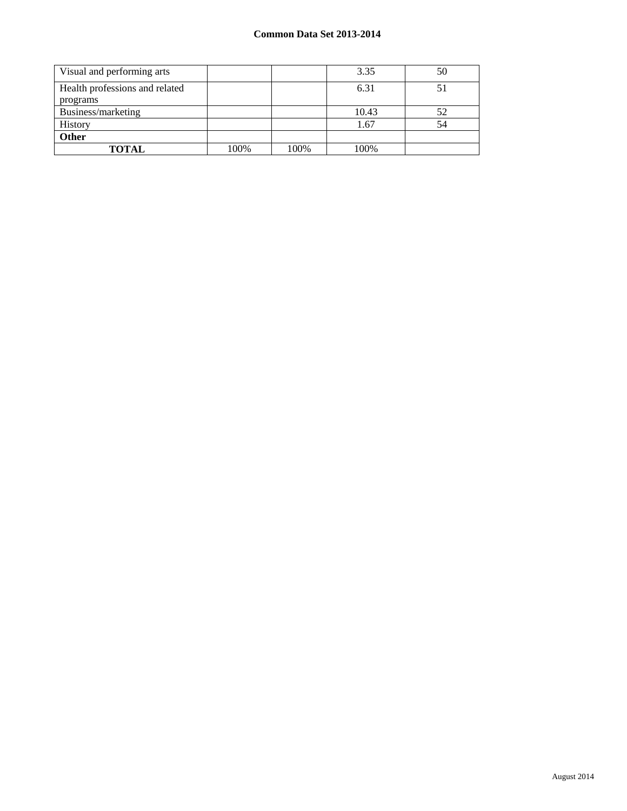| Visual and performing arts                 |      |      | 3.35  | 50 |
|--------------------------------------------|------|------|-------|----|
| Health professions and related<br>programs |      |      | 6.31  | 51 |
| Business/marketing                         |      |      | 10.43 | 52 |
| History                                    |      |      | 1.67  | 54 |
| Other                                      |      |      |       |    |
| <b>TOTAL</b>                               | 100% | 100% | 100%  |    |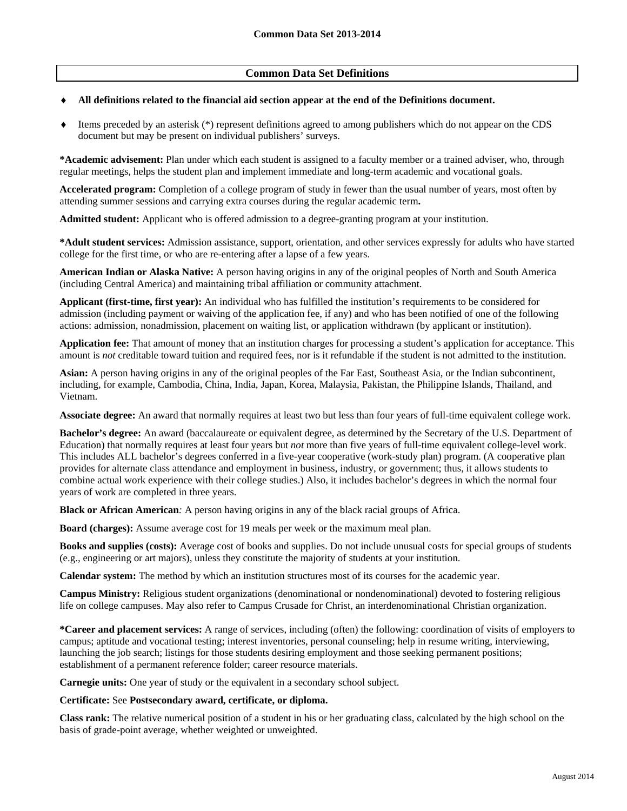## **Common Data Set Definitions**

#### **All definitions related to the financial aid section appear at the end of the Definitions document.**

 Items preceded by an asterisk (\*) represent definitions agreed to among publishers which do not appear on the CDS document but may be present on individual publishers' surveys.

**\*Academic advisement:** Plan under which each student is assigned to a faculty member or a trained adviser, who, through regular meetings, helps the student plan and implement immediate and long-term academic and vocational goals.

**Accelerated program:** Completion of a college program of study in fewer than the usual number of years, most often by attending summer sessions and carrying extra courses during the regular academic term**.** 

**Admitted student:** Applicant who is offered admission to a degree-granting program at your institution.

**\*Adult student services:** Admission assistance, support, orientation, and other services expressly for adults who have started college for the first time, or who are re-entering after a lapse of a few years.

**American Indian or Alaska Native:** A person having origins in any of the original peoples of North and South America (including Central America) and maintaining tribal affiliation or community attachment.

**Applicant (first-time, first year):** An individual who has fulfilled the institution's requirements to be considered for admission (including payment or waiving of the application fee, if any) and who has been notified of one of the following actions: admission, nonadmission, placement on waiting list, or application withdrawn (by applicant or institution).

**Application fee:** That amount of money that an institution charges for processing a student's application for acceptance. This amount is *not* creditable toward tuition and required fees, nor is it refundable if the student is not admitted to the institution.

**Asian:** A person having origins in any of the original peoples of the Far East, Southeast Asia, or the Indian subcontinent, including, for example, Cambodia, China, India, Japan, Korea, Malaysia, Pakistan, the Philippine Islands, Thailand, and Vietnam.

**Associate degree:** An award that normally requires at least two but less than four years of full-time equivalent college work.

**Bachelor's degree:** An award (baccalaureate or equivalent degree, as determined by the Secretary of the U.S. Department of Education) that normally requires at least four years but *not* more than five years of full-time equivalent college-level work. This includes ALL bachelor's degrees conferred in a five-year cooperative (work-study plan) program. (A cooperative plan provides for alternate class attendance and employment in business, industry, or government; thus, it allows students to combine actual work experience with their college studies.) Also, it includes bachelor's degrees in which the normal four years of work are completed in three years.

**Black or African American***:* A person having origins in any of the black racial groups of Africa.

**Board (charges):** Assume average cost for 19 meals per week or the maximum meal plan.

**Books and supplies (costs):** Average cost of books and supplies. Do not include unusual costs for special groups of students (e.g., engineering or art majors), unless they constitute the majority of students at your institution.

**Calendar system:** The method by which an institution structures most of its courses for the academic year.

**Campus Ministry:** Religious student organizations (denominational or nondenominational) devoted to fostering religious life on college campuses. May also refer to Campus Crusade for Christ, an interdenominational Christian organization.

**\*Career and placement services:** A range of services, including (often) the following: coordination of visits of employers to campus; aptitude and vocational testing; interest inventories, personal counseling; help in resume writing, interviewing, launching the job search; listings for those students desiring employment and those seeking permanent positions; establishment of a permanent reference folder; career resource materials.

**Carnegie units:** One year of study or the equivalent in a secondary school subject.

#### **Certificate:** See **Postsecondary award, certificate, or diploma.**

**Class rank:** The relative numerical position of a student in his or her graduating class, calculated by the high school on the basis of grade-point average, whether weighted or unweighted.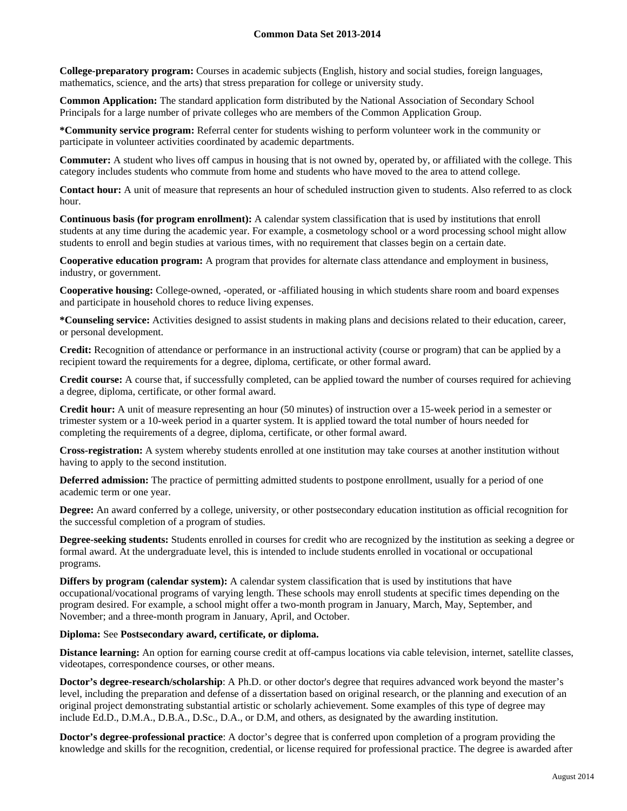**College-preparatory program:** Courses in academic subjects (English, history and social studies, foreign languages, mathematics, science, and the arts) that stress preparation for college or university study.

**Common Application:** The standard application form distributed by the National Association of Secondary School Principals for a large number of private colleges who are members of the Common Application Group.

**\*Community service program:** Referral center for students wishing to perform volunteer work in the community or participate in volunteer activities coordinated by academic departments.

**Commuter:** A student who lives off campus in housing that is not owned by, operated by, or affiliated with the college. This category includes students who commute from home and students who have moved to the area to attend college.

**Contact hour:** A unit of measure that represents an hour of scheduled instruction given to students. Also referred to as clock hour.

**Continuous basis (for program enrollment):** A calendar system classification that is used by institutions that enroll students at any time during the academic year. For example, a cosmetology school or a word processing school might allow students to enroll and begin studies at various times, with no requirement that classes begin on a certain date.

**Cooperative education program:** A program that provides for alternate class attendance and employment in business, industry, or government.

**Cooperative housing:** College-owned, -operated, or -affiliated housing in which students share room and board expenses and participate in household chores to reduce living expenses.

**\*Counseling service:** Activities designed to assist students in making plans and decisions related to their education, career, or personal development.

**Credit:** Recognition of attendance or performance in an instructional activity (course or program) that can be applied by a recipient toward the requirements for a degree, diploma, certificate, or other formal award.

**Credit course:** A course that, if successfully completed, can be applied toward the number of courses required for achieving a degree, diploma, certificate, or other formal award.

**Credit hour:** A unit of measure representing an hour (50 minutes) of instruction over a 15-week period in a semester or trimester system or a 10-week period in a quarter system. It is applied toward the total number of hours needed for completing the requirements of a degree, diploma, certificate, or other formal award.

**Cross-registration:** A system whereby students enrolled at one institution may take courses at another institution without having to apply to the second institution.

**Deferred admission:** The practice of permitting admitted students to postpone enrollment, usually for a period of one academic term or one year.

**Degree:** An award conferred by a college, university, or other postsecondary education institution as official recognition for the successful completion of a program of studies.

**Degree-seeking students:** Students enrolled in courses for credit who are recognized by the institution as seeking a degree or formal award. At the undergraduate level, this is intended to include students enrolled in vocational or occupational programs.

**Differs by program (calendar system):** A calendar system classification that is used by institutions that have occupational/vocational programs of varying length. These schools may enroll students at specific times depending on the program desired. For example, a school might offer a two-month program in January, March, May, September, and November; and a three-month program in January, April, and October.

#### **Diploma:** See **Postsecondary award, certificate, or diploma.**

**Distance learning:** An option for earning course credit at off-campus locations via cable television, internet, satellite classes, videotapes, correspondence courses, or other means.

**Doctor's degree-research/scholarship**: A Ph.D. or other doctor's degree that requires advanced work beyond the master's level, including the preparation and defense of a dissertation based on original research, or the planning and execution of an original project demonstrating substantial artistic or scholarly achievement. Some examples of this type of degree may include Ed.D., D.M.A., D.B.A., D.Sc., D.A., or D.M, and others, as designated by the awarding institution.

**Doctor's degree-professional practice**: A doctor's degree that is conferred upon completion of a program providing the knowledge and skills for the recognition, credential, or license required for professional practice. The degree is awarded after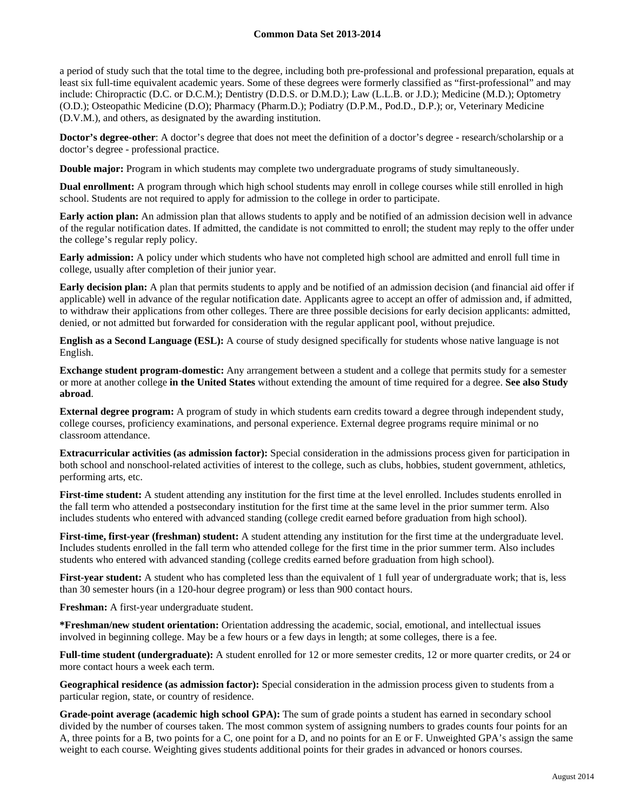a period of study such that the total time to the degree, including both pre-professional and professional preparation, equals at least six full-time equivalent academic years. Some of these degrees were formerly classified as "first-professional" and may include: Chiropractic (D.C. or D.C.M.); Dentistry (D.D.S. or D.M.D.); Law (L.L.B. or J.D.); Medicine (M.D.); Optometry (O.D.); Osteopathic Medicine (D.O); Pharmacy (Pharm.D.); Podiatry (D.P.M., Pod.D., D.P.); or, Veterinary Medicine (D.V.M.), and others, as designated by the awarding institution.

**Doctor's degree-other:** A doctor's degree that does not meet the definition of a doctor's degree - research/scholarship or a doctor's degree - professional practice.

**Double major:** Program in which students may complete two undergraduate programs of study simultaneously.

**Dual enrollment:** A program through which high school students may enroll in college courses while still enrolled in high school. Students are not required to apply for admission to the college in order to participate.

**Early action plan:** An admission plan that allows students to apply and be notified of an admission decision well in advance of the regular notification dates. If admitted, the candidate is not committed to enroll; the student may reply to the offer under the college's regular reply policy.

**Early admission:** A policy under which students who have not completed high school are admitted and enroll full time in college, usually after completion of their junior year.

**Early decision plan:** A plan that permits students to apply and be notified of an admission decision (and financial aid offer if applicable) well in advance of the regular notification date. Applicants agree to accept an offer of admission and, if admitted, to withdraw their applications from other colleges. There are three possible decisions for early decision applicants: admitted, denied, or not admitted but forwarded for consideration with the regular applicant pool, without prejudice.

**English as a Second Language (ESL):** A course of study designed specifically for students whose native language is not English.

**Exchange student program-domestic:** Any arrangement between a student and a college that permits study for a semester or more at another college **in the United States** without extending the amount of time required for a degree. **See also Study abroad**.

**External degree program:** A program of study in which students earn credits toward a degree through independent study, college courses, proficiency examinations, and personal experience. External degree programs require minimal or no classroom attendance.

**Extracurricular activities (as admission factor):** Special consideration in the admissions process given for participation in both school and nonschool-related activities of interest to the college, such as clubs, hobbies, student government, athletics, performing arts, etc.

**First-time student:** A student attending any institution for the first time at the level enrolled. Includes students enrolled in the fall term who attended a postsecondary institution for the first time at the same level in the prior summer term. Also includes students who entered with advanced standing (college credit earned before graduation from high school).

**First-time, first-year (freshman) student:** A student attending any institution for the first time at the undergraduate level. Includes students enrolled in the fall term who attended college for the first time in the prior summer term. Also includes students who entered with advanced standing (college credits earned before graduation from high school).

**First-year student:** A student who has completed less than the equivalent of 1 full year of undergraduate work; that is, less than 30 semester hours (in a 120-hour degree program) or less than 900 contact hours.

**Freshman:** A first-year undergraduate student.

**\*Freshman/new student orientation:** Orientation addressing the academic, social, emotional, and intellectual issues involved in beginning college. May be a few hours or a few days in length; at some colleges, there is a fee.

**Full-time student (undergraduate):** A student enrolled for 12 or more semester credits, 12 or more quarter credits, or 24 or more contact hours a week each term.

**Geographical residence (as admission factor):** Special consideration in the admission process given to students from a particular region, state, or country of residence.

**Grade-point average (academic high school GPA):** The sum of grade points a student has earned in secondary school divided by the number of courses taken. The most common system of assigning numbers to grades counts four points for an A, three points for a B, two points for a C, one point for a D, and no points for an E or F. Unweighted GPA's assign the same weight to each course. Weighting gives students additional points for their grades in advanced or honors courses.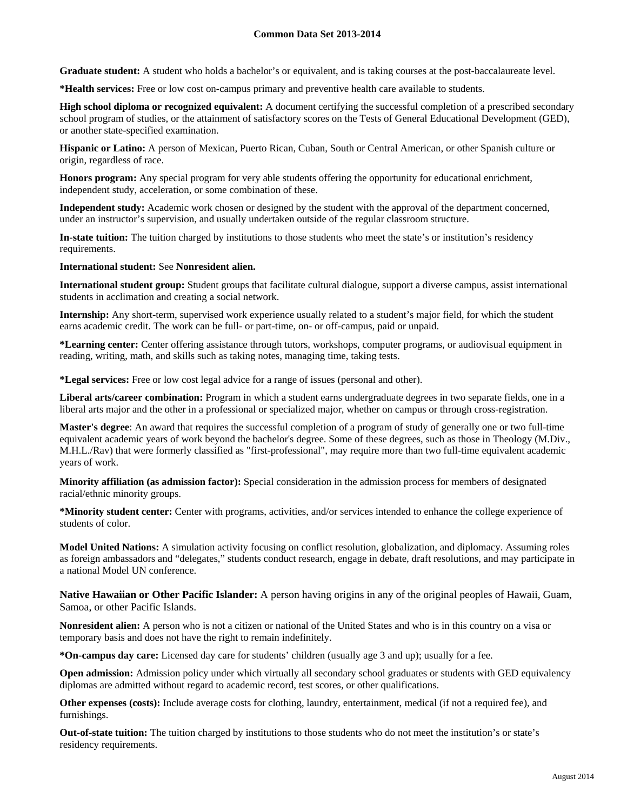**Graduate student:** A student who holds a bachelor's or equivalent, and is taking courses at the post-baccalaureate level.

**\*Health services:** Free or low cost on-campus primary and preventive health care available to students.

**High school diploma or recognized equivalent:** A document certifying the successful completion of a prescribed secondary school program of studies, or the attainment of satisfactory scores on the Tests of General Educational Development (GED), or another state-specified examination.

**Hispanic or Latino:** A person of Mexican, Puerto Rican, Cuban, South or Central American, or other Spanish culture or origin, regardless of race.

**Honors program:** Any special program for very able students offering the opportunity for educational enrichment, independent study, acceleration, or some combination of these.

**Independent study:** Academic work chosen or designed by the student with the approval of the department concerned, under an instructor's supervision, and usually undertaken outside of the regular classroom structure.

**In-state tuition:** The tuition charged by institutions to those students who meet the state's or institution's residency requirements.

#### **International student:** See **Nonresident alien.**

**International student group:** Student groups that facilitate cultural dialogue, support a diverse campus, assist international students in acclimation and creating a social network.

**Internship:** Any short-term, supervised work experience usually related to a student's major field, for which the student earns academic credit. The work can be full- or part-time, on- or off-campus, paid or unpaid.

**\*Learning center:** Center offering assistance through tutors, workshops, computer programs, or audiovisual equipment in reading, writing, math, and skills such as taking notes, managing time, taking tests.

**\*Legal services:** Free or low cost legal advice for a range of issues (personal and other).

**Liberal arts/career combination:** Program in which a student earns undergraduate degrees in two separate fields, one in a liberal arts major and the other in a professional or specialized major, whether on campus or through cross-registration.

**Master's degree**: An award that requires the successful completion of a program of study of generally one or two full-time equivalent academic years of work beyond the bachelor's degree. Some of these degrees, such as those in Theology (M.Div., M.H.L./Rav) that were formerly classified as "first-professional", may require more than two full-time equivalent academic years of work.

**Minority affiliation (as admission factor):** Special consideration in the admission process for members of designated racial/ethnic minority groups.

**\*Minority student center:** Center with programs, activities, and/or services intended to enhance the college experience of students of color.

**Model United Nations:** A simulation activity focusing on conflict resolution, globalization, and diplomacy. Assuming roles as foreign ambassadors and "delegates," students conduct research, engage in debate, draft resolutions, and may participate in a national Model UN conference.

**Native Hawaiian or Other Pacific Islander:** A person having origins in any of the original peoples of Hawaii, Guam, Samoa, or other Pacific Islands.

**Nonresident alien:** A person who is not a citizen or national of the United States and who is in this country on a visa or temporary basis and does not have the right to remain indefinitely.

**\*On-campus day care:** Licensed day care for students' children (usually age 3 and up); usually for a fee.

**Open admission:** Admission policy under which virtually all secondary school graduates or students with GED equivalency diplomas are admitted without regard to academic record, test scores, or other qualifications.

**Other expenses (costs):** Include average costs for clothing, laundry, entertainment, medical (if not a required fee), and furnishings.

**Out-of-state tuition:** The tuition charged by institutions to those students who do not meet the institution's or state's residency requirements.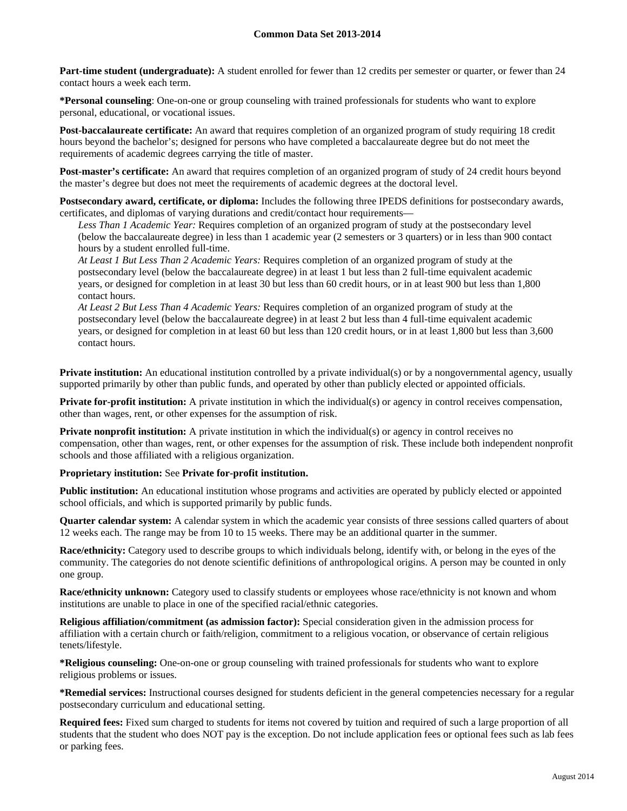**Part-time student (undergraduate):** A student enrolled for fewer than 12 credits per semester or quarter, or fewer than 24 contact hours a week each term.

**\*Personal counseling**: One-on-one or group counseling with trained professionals for students who want to explore personal, educational, or vocational issues.

**Post-baccalaureate certificate:** An award that requires completion of an organized program of study requiring 18 credit hours beyond the bachelor's; designed for persons who have completed a baccalaureate degree but do not meet the requirements of academic degrees carrying the title of master.

**Post-master's certificate:** An award that requires completion of an organized program of study of 24 credit hours beyond the master's degree but does not meet the requirements of academic degrees at the doctoral level.

**Postsecondary award, certificate, or diploma:** Includes the following three IPEDS definitions for postsecondary awards, certificates, and diplomas of varying durations and credit/contact hour requirements—

*Less Than 1 Academic Year:* Requires completion of an organized program of study at the postsecondary level (below the baccalaureate degree) in less than 1 academic year (2 semesters or 3 quarters) or in less than 900 contact hours by a student enrolled full-time.

*At Least 1 But Less Than 2 Academic Years:* Requires completion of an organized program of study at the postsecondary level (below the baccalaureate degree) in at least 1 but less than 2 full-time equivalent academic years, or designed for completion in at least 30 but less than 60 credit hours, or in at least 900 but less than 1,800 contact hours.

*At Least 2 But Less Than 4 Academic Years:* Requires completion of an organized program of study at the postsecondary level (below the baccalaureate degree) in at least 2 but less than 4 full-time equivalent academic years, or designed for completion in at least 60 but less than 120 credit hours, or in at least 1,800 but less than 3,600 contact hours.

**Private institution:** An educational institution controlled by a private individual(s) or by a nongovernmental agency, usually supported primarily by other than public funds, and operated by other than publicly elected or appointed officials.

**Private for-profit institution:** A private institution in which the individual(s) or agency in control receives compensation, other than wages, rent, or other expenses for the assumption of risk.

**Private nonprofit institution:** A private institution in which the individual(s) or agency in control receives no compensation, other than wages, rent, or other expenses for the assumption of risk. These include both independent nonprofit schools and those affiliated with a religious organization.

### **Proprietary institution:** See **Private for-profit institution.**

**Public institution:** An educational institution whose programs and activities are operated by publicly elected or appointed school officials, and which is supported primarily by public funds.

**Quarter calendar system:** A calendar system in which the academic year consists of three sessions called quarters of about 12 weeks each. The range may be from 10 to 15 weeks. There may be an additional quarter in the summer.

**Race/ethnicity:** Category used to describe groups to which individuals belong, identify with, or belong in the eyes of the community. The categories do not denote scientific definitions of anthropological origins. A person may be counted in only one group.

**Race/ethnicity unknown:** Category used to classify students or employees whose race/ethnicity is not known and whom institutions are unable to place in one of the specified racial/ethnic categories.

**Religious affiliation/commitment (as admission factor):** Special consideration given in the admission process for affiliation with a certain church or faith/religion, commitment to a religious vocation, or observance of certain religious tenets/lifestyle.

**\*Religious counseling:** One-on-one or group counseling with trained professionals for students who want to explore religious problems or issues.

**\*Remedial services:** Instructional courses designed for students deficient in the general competencies necessary for a regular postsecondary curriculum and educational setting.

**Required fees:** Fixed sum charged to students for items not covered by tuition and required of such a large proportion of all students that the student who does NOT pay is the exception. Do not include application fees or optional fees such as lab fees or parking fees.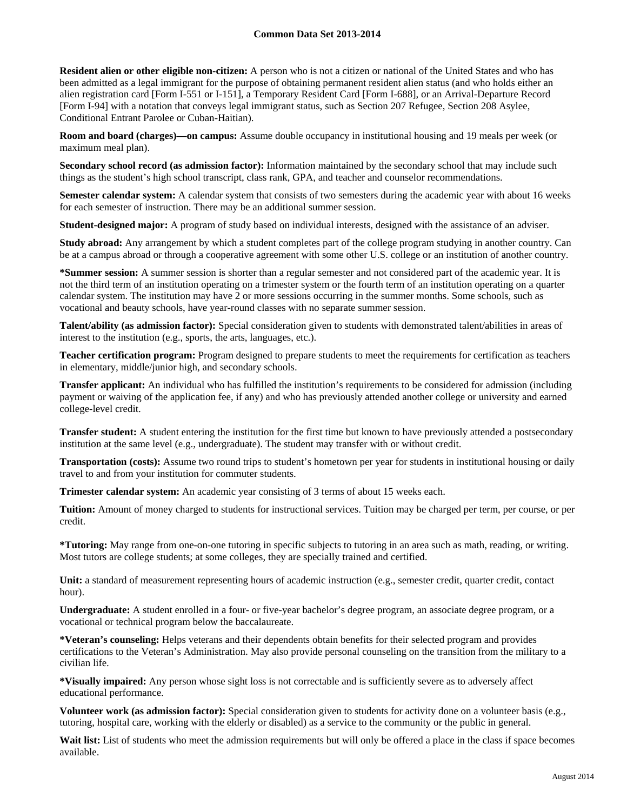**Resident alien or other eligible non-citizen:** A person who is not a citizen or national of the United States and who has been admitted as a legal immigrant for the purpose of obtaining permanent resident alien status (and who holds either an alien registration card [Form I-551 or I-151], a Temporary Resident Card [Form I-688], or an Arrival-Departure Record [Form I-94] with a notation that conveys legal immigrant status, such as Section 207 Refugee, Section 208 Asylee, Conditional Entrant Parolee or Cuban-Haitian).

**Room and board (charges)—on campus:** Assume double occupancy in institutional housing and 19 meals per week (or maximum meal plan).

**Secondary school record (as admission factor):** Information maintained by the secondary school that may include such things as the student's high school transcript, class rank, GPA, and teacher and counselor recommendations.

**Semester calendar system:** A calendar system that consists of two semesters during the academic year with about 16 weeks for each semester of instruction. There may be an additional summer session.

**Student-designed major:** A program of study based on individual interests, designed with the assistance of an adviser.

**Study abroad:** Any arrangement by which a student completes part of the college program studying in another country. Can be at a campus abroad or through a cooperative agreement with some other U.S. college or an institution of another country.

**\*Summer session:** A summer session is shorter than a regular semester and not considered part of the academic year. It is not the third term of an institution operating on a trimester system or the fourth term of an institution operating on a quarter calendar system. The institution may have 2 or more sessions occurring in the summer months. Some schools, such as vocational and beauty schools, have year-round classes with no separate summer session.

**Talent/ability (as admission factor):** Special consideration given to students with demonstrated talent/abilities in areas of interest to the institution (e.g., sports, the arts, languages, etc.).

**Teacher certification program:** Program designed to prepare students to meet the requirements for certification as teachers in elementary, middle/junior high, and secondary schools.

**Transfer applicant:** An individual who has fulfilled the institution's requirements to be considered for admission (including payment or waiving of the application fee, if any) and who has previously attended another college or university and earned college-level credit.

**Transfer student:** A student entering the institution for the first time but known to have previously attended a postsecondary institution at the same level (e.g., undergraduate). The student may transfer with or without credit.

**Transportation (costs):** Assume two round trips to student's hometown per year for students in institutional housing or daily travel to and from your institution for commuter students.

**Trimester calendar system:** An academic year consisting of 3 terms of about 15 weeks each.

**Tuition:** Amount of money charged to students for instructional services. Tuition may be charged per term, per course, or per credit.

**\*Tutoring:** May range from one-on-one tutoring in specific subjects to tutoring in an area such as math, reading, or writing. Most tutors are college students; at some colleges, they are specially trained and certified.

Unit: a standard of measurement representing hours of academic instruction (e.g., semester credit, quarter credit, contact hour).

**Undergraduate:** A student enrolled in a four- or five-year bachelor's degree program, an associate degree program, or a vocational or technical program below the baccalaureate.

**\*Veteran's counseling:** Helps veterans and their dependents obtain benefits for their selected program and provides certifications to the Veteran's Administration. May also provide personal counseling on the transition from the military to a civilian life.

**\*Visually impaired:** Any person whose sight loss is not correctable and is sufficiently severe as to adversely affect educational performance.

**Volunteer work (as admission factor):** Special consideration given to students for activity done on a volunteer basis (e.g., tutoring, hospital care, working with the elderly or disabled) as a service to the community or the public in general.

Wait list: List of students who meet the admission requirements but will only be offered a place in the class if space becomes available.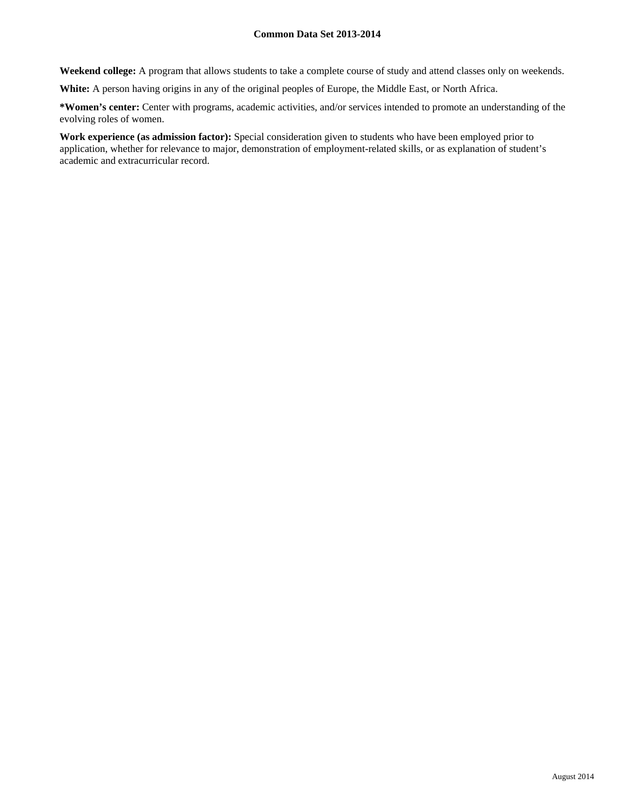**Weekend college:** A program that allows students to take a complete course of study and attend classes only on weekends.

**White:** A person having origins in any of the original peoples of Europe, the Middle East, or North Africa.

**\*Women's center:** Center with programs, academic activities, and/or services intended to promote an understanding of the evolving roles of women.

**Work experience (as admission factor):** Special consideration given to students who have been employed prior to application, whether for relevance to major, demonstration of employment-related skills, or as explanation of student's academic and extracurricular record.